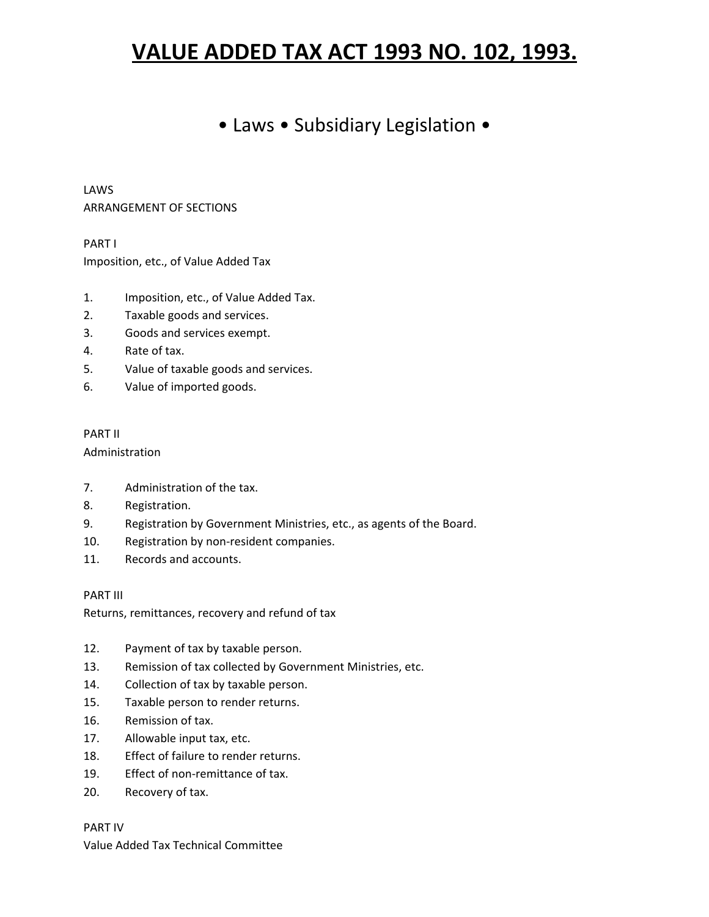# **VALUE ADDED TAX ACT 1993 NO. 102, 1993.**

## • Laws • Subsidiary Legislation •

LAWS ARRANGEMENT OF SECTIONS

PART I Imposition, etc., of Value Added Tax

- 1. Imposition, etc., of Value Added Tax.
- 2. Taxable goods and services.
- 3. Goods and services exempt.
- 4. Rate of tax.
- 5. Value of taxable goods and services.
- 6. Value of imported goods.

## PART II

Administration

- 7. Administration of the tax.
- 8. Registration.
- 9. Registration by Government Ministries, etc., as agents of the Board.
- 10. Registration by non-resident companies.
- 11. Records and accounts.

PART III

Returns, remittances, recovery and refund of tax

- 12. Payment of tax by taxable person.
- 13. Remission of tax collected by Government Ministries, etc.
- 14. Collection of tax by taxable person.
- 15. Taxable person to render returns.
- 16. Remission of tax.
- 17. Allowable input tax, etc.
- 18. Effect of failure to render returns.
- 19. Effect of non-remittance of tax.
- 20. Recovery of tax.

PART IV Value Added Tax Technical Committee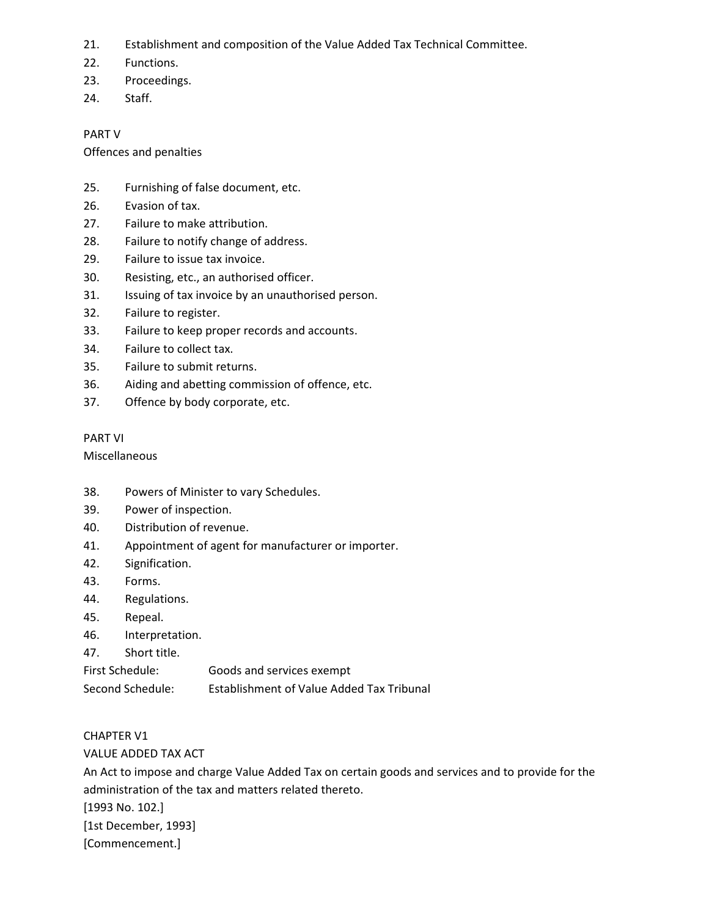- 21. Establishment and composition of the Value Added Tax Technical Committee.
- 22. Functions.
- 23. Proceedings.
- 24. Staff.

## PART V

Offences and penalties

- 25. Furnishing of false document, etc.
- 26. Evasion of tax.
- 27. Failure to make attribution.
- 28. Failure to notify change of address.
- 29. Failure to issue tax invoice.
- 30. Resisting, etc., an authorised officer.
- 31. Issuing of tax invoice by an unauthorised person.
- 32. Failure to register.
- 33. Failure to keep proper records and accounts.
- 34. Failure to collect tax.
- 35. Failure to submit returns.
- 36. Aiding and abetting commission of offence, etc.
- 37. Offence by body corporate, etc.

## PART VI

Miscellaneous

- 38. Powers of Minister to vary Schedules.
- 39. Power of inspection.
- 40. Distribution of revenue.
- 41. Appointment of agent for manufacturer or importer.
- 42. Signification.
- 43. Forms.
- 44. Regulations.
- 45. Repeal.
- 46. Interpretation.
- 47. Short title.

First Schedule: Goods and services exempt

Second Schedule: Establishment of Value Added Tax Tribunal

## CHAPTER V1

VALUE ADDED TAX ACT

An Act to impose and charge Value Added Tax on certain goods and services and to provide for the administration of the tax and matters related thereto. [1993 No. 102.] [1st December, 1993]

[Commencement.]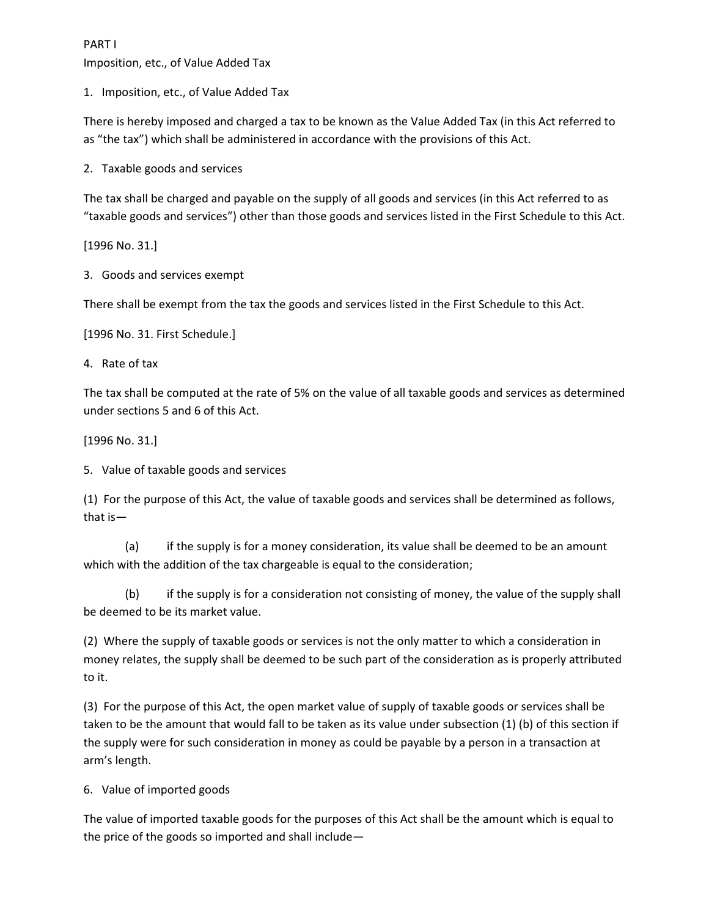PART I Imposition, etc., of Value Added Tax

1. Imposition, etc., of Value Added Tax

There is hereby imposed and charged a tax to be known as the Value Added Tax (in this Act referred to as "the tax") which shall be administered in accordance with the provisions of this Act.

2. Taxable goods and services

The tax shall be charged and payable on the supply of all goods and services (in this Act referred to as "taxable goods and services") other than those goods and services listed in the First Schedule to this Act.

[1996 No. 31.]

3. Goods and services exempt

There shall be exempt from the tax the goods and services listed in the First Schedule to this Act.

[1996 No. 31. First Schedule.]

4. Rate of tax

The tax shall be computed at the rate of 5% on the value of all taxable goods and services as determined under sections 5 and 6 of this Act.

[1996 No. 31.]

5. Value of taxable goods and services

(1) For the purpose of this Act, the value of taxable goods and services shall be determined as follows, that is—

(a) if the supply is for a money consideration, its value shall be deemed to be an amount which with the addition of the tax chargeable is equal to the consideration;

(b) if the supply is for a consideration not consisting of money, the value of the supply shall be deemed to be its market value.

(2) Where the supply of taxable goods or services is not the only matter to which a consideration in money relates, the supply shall be deemed to be such part of the consideration as is properly attributed to it.

(3) For the purpose of this Act, the open market value of supply of taxable goods or services shall be taken to be the amount that would fall to be taken as its value under subsection (1) (b) of this section if the supply were for such consideration in money as could be payable by a person in a transaction at arm's length.

6. Value of imported goods

The value of imported taxable goods for the purposes of this Act shall be the amount which is equal to the price of the goods so imported and shall include—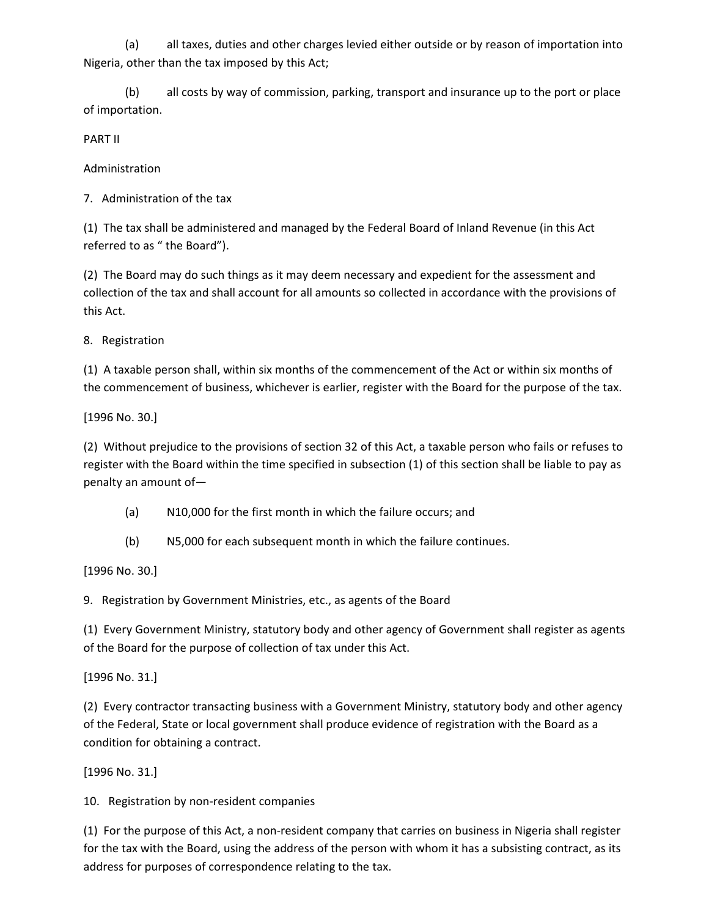(a) all taxes, duties and other charges levied either outside or by reason of importation into Nigeria, other than the tax imposed by this Act;

(b) all costs by way of commission, parking, transport and insurance up to the port or place of importation.

PART II

Administration

7. Administration of the tax

(1) The tax shall be administered and managed by the Federal Board of Inland Revenue (in this Act referred to as " the Board").

(2) The Board may do such things as it may deem necessary and expedient for the assessment and collection of the tax and shall account for all amounts so collected in accordance with the provisions of this Act.

8. Registration

(1) A taxable person shall, within six months of the commencement of the Act or within six months of the commencement of business, whichever is earlier, register with the Board for the purpose of the tax.

[1996 No. 30.]

(2) Without prejudice to the provisions of section 32 of this Act, a taxable person who fails or refuses to register with the Board within the time specified in subsection (1) of this section shall be liable to pay as penalty an amount of—

(a) N10,000 for the first month in which the failure occurs; and

(b) N5,000 for each subsequent month in which the failure continues.

[1996 No. 30.]

9. Registration by Government Ministries, etc., as agents of the Board

(1) Every Government Ministry, statutory body and other agency of Government shall register as agents of the Board for the purpose of collection of tax under this Act.

[1996 No. 31.]

(2) Every contractor transacting business with a Government Ministry, statutory body and other agency of the Federal, State or local government shall produce evidence of registration with the Board as a condition for obtaining a contract.

[1996 No. 31.]

10. Registration by non-resident companies

(1) For the purpose of this Act, a non-resident company that carries on business in Nigeria shall register for the tax with the Board, using the address of the person with whom it has a subsisting contract, as its address for purposes of correspondence relating to the tax.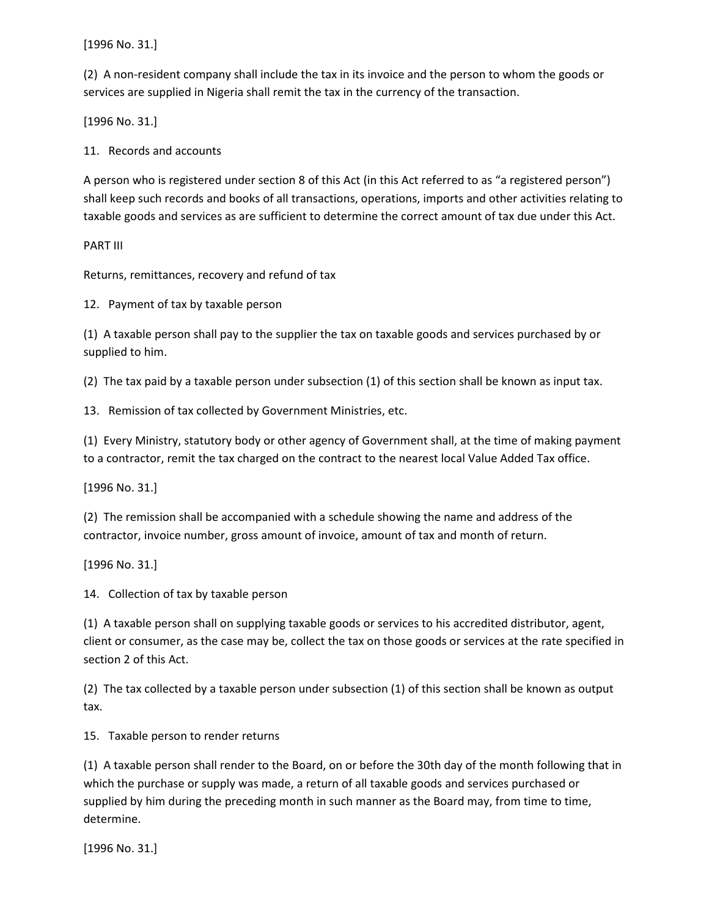[1996 No. 31.]

(2) A non-resident company shall include the tax in its invoice and the person to whom the goods or services are supplied in Nigeria shall remit the tax in the currency of the transaction.

[1996 No. 31.]

11. Records and accounts

A person who is registered under section 8 of this Act (in this Act referred to as "a registered person") shall keep such records and books of all transactions, operations, imports and other activities relating to taxable goods and services as are sufficient to determine the correct amount of tax due under this Act.

PART III

Returns, remittances, recovery and refund of tax

12. Payment of tax by taxable person

(1) A taxable person shall pay to the supplier the tax on taxable goods and services purchased by or supplied to him.

(2) The tax paid by a taxable person under subsection (1) of this section shall be known as input tax.

13. Remission of tax collected by Government Ministries, etc.

(1) Every Ministry, statutory body or other agency of Government shall, at the time of making payment to a contractor, remit the tax charged on the contract to the nearest local Value Added Tax office.

[1996 No. 31.]

(2) The remission shall be accompanied with a schedule showing the name and address of the contractor, invoice number, gross amount of invoice, amount of tax and month of return.

[1996 No. 31.]

14. Collection of tax by taxable person

(1) A taxable person shall on supplying taxable goods or services to his accredited distributor, agent, client or consumer, as the case may be, collect the tax on those goods or services at the rate specified in section 2 of this Act.

(2) The tax collected by a taxable person under subsection (1) of this section shall be known as output tax.

15. Taxable person to render returns

(1) A taxable person shall render to the Board, on or before the 30th day of the month following that in which the purchase or supply was made, a return of all taxable goods and services purchased or supplied by him during the preceding month in such manner as the Board may, from time to time, determine.

[1996 No. 31.]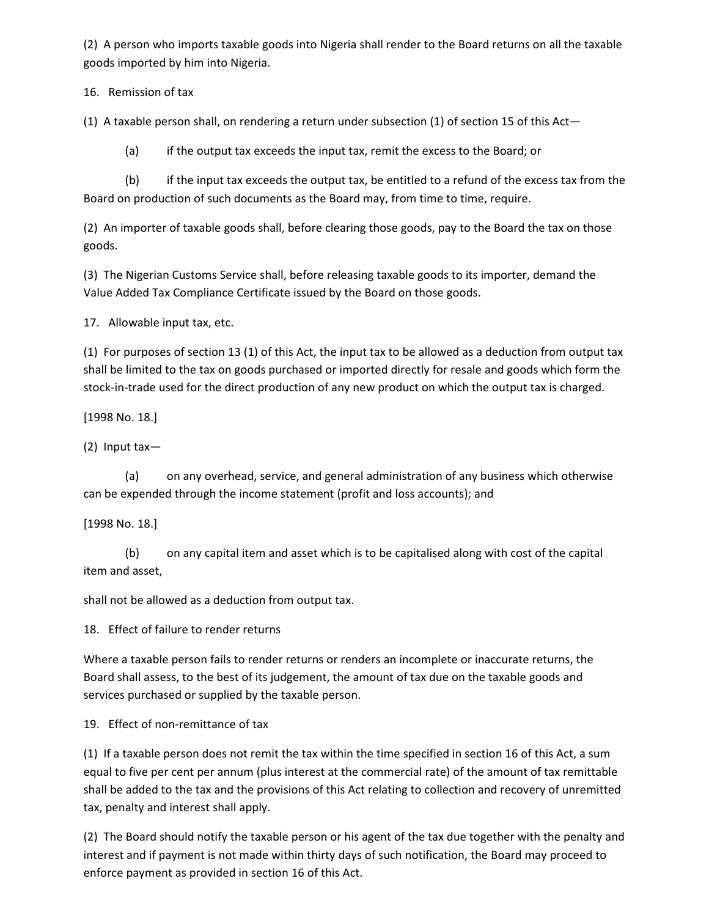(2) A person who imports taxable goods into Nigeria shall render to the Board returns on all the taxable goods imported by him into Nigeria.

16. Remission of tax

(1) A taxable person shall, on rendering a return under subsection (1) of section 15 of this Act—

(a) if the output tax exceeds the input tax, remit the excess to the Board; or

(b) if the input tax exceeds the output tax, be entitled to a refund of the excess tax from the Board on production of such documents as the Board may, from time to time, require.

(2) An importer of taxable goods shall, before clearing those goods, pay to the Board the tax on those goods.

(3) The Nigerian Customs Service shall, before releasing taxable goods to its importer, demand the Value Added Tax Compliance Certificate issued by the Board on those goods.

17. Allowable input tax, etc.

(1) For purposes of section 13 (1) of this Act, the input tax to be allowed as a deduction from output tax shall be limited to the tax on goods purchased or imported directly for resale and goods which form the stock-in-trade used for the direct production of any new product on which the output tax is charged.

[1998 No. 18.]

(2) Input tax—

(a) on any overhead, service, and general administration of any business which otherwise can be expended through the income statement (profit and loss accounts); and

[1998 No. 18.]

(b) on any capital item and asset which is to be capitalised along with cost of the capital item and asset,

shall not be allowed as a deduction from output tax.

18. Effect of failure to render returns

Where a taxable person fails to render returns or renders an incomplete or inaccurate returns, the Board shall assess, to the best of its judgement, the amount of tax due on the taxable goods and services purchased or supplied by the taxable person.

19. Effect of non-remittance of tax

(1) If a taxable person does not remit the tax within the time specified in section 16 of this Act, a sum equal to five per cent per annum (plus interest at the commercial rate) of the amount of tax remittable shall be added to the tax and the provisions of this Act relating to collection and recovery of unremitted tax, penalty and interest shall apply.

(2) The Board should notify the taxable person or his agent of the tax due together with the penalty and interest and if payment is not made within thirty days of such notification, the Board may proceed to enforce payment as provided in section 16 of this Act.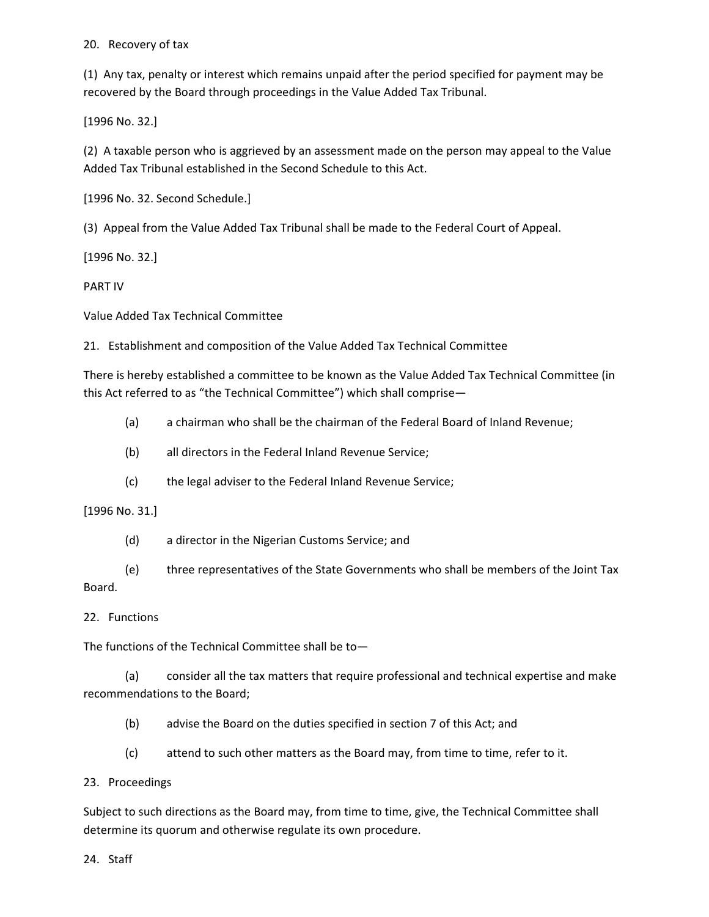## 20. Recovery of tax

(1) Any tax, penalty or interest which remains unpaid after the period specified for payment may be recovered by the Board through proceedings in the Value Added Tax Tribunal.

[1996 No. 32.]

(2) A taxable person who is aggrieved by an assessment made on the person may appeal to the Value Added Tax Tribunal established in the Second Schedule to this Act.

[1996 No. 32. Second Schedule.]

(3) Appeal from the Value Added Tax Tribunal shall be made to the Federal Court of Appeal.

[1996 No. 32.]

PART IV

Value Added Tax Technical Committee

21. Establishment and composition of the Value Added Tax Technical Committee

There is hereby established a committee to be known as the Value Added Tax Technical Committee (in this Act referred to as "the Technical Committee") which shall comprise—

- (a) a chairman who shall be the chairman of the Federal Board of Inland Revenue;
- (b) all directors in the Federal Inland Revenue Service;
- (c) the legal adviser to the Federal Inland Revenue Service;

## [1996 No. 31.]

- (d) a director in the Nigerian Customs Service; and
- (e) three representatives of the State Governments who shall be members of the Joint Tax Board.

## 22. Functions

The functions of the Technical Committee shall be to—

(a) consider all the tax matters that require professional and technical expertise and make recommendations to the Board;

- (b) advise the Board on the duties specified in section 7 of this Act; and
- (c) attend to such other matters as the Board may, from time to time, refer to it.

## 23. Proceedings

Subject to such directions as the Board may, from time to time, give, the Technical Committee shall determine its quorum and otherwise regulate its own procedure.

24. Staff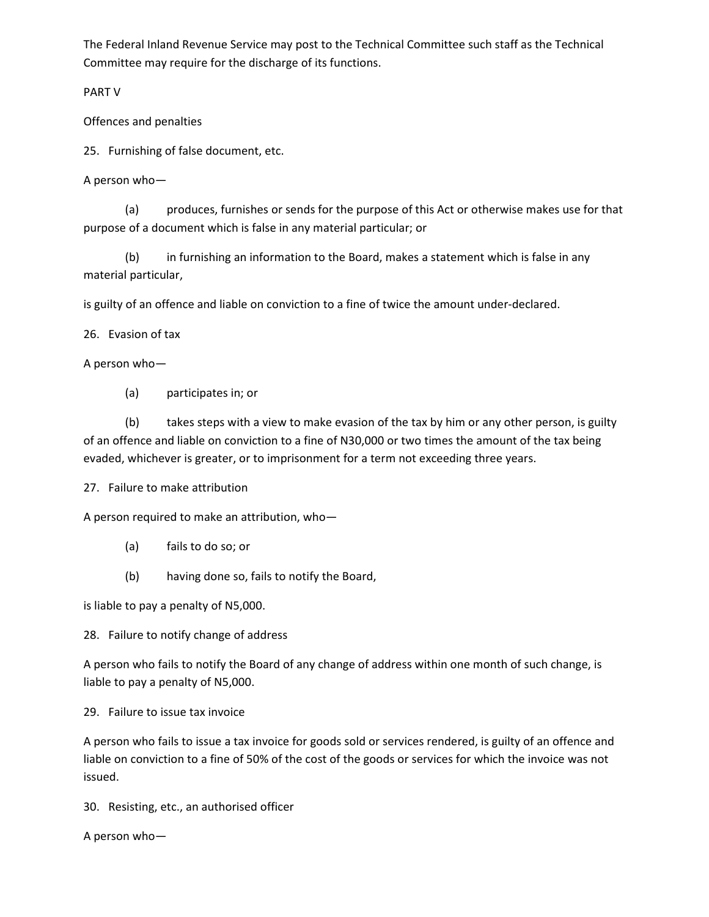The Federal Inland Revenue Service may post to the Technical Committee such staff as the Technical Committee may require for the discharge of its functions.

PART V

Offences and penalties

25. Furnishing of false document, etc.

A person who—

(a) produces, furnishes or sends for the purpose of this Act or otherwise makes use for that purpose of a document which is false in any material particular; or

(b) in furnishing an information to the Board, makes a statement which is false in any material particular,

is guilty of an offence and liable on conviction to a fine of twice the amount under-declared.

26. Evasion of tax

A person who—

(a) participates in; or

(b) takes steps with a view to make evasion of the tax by him or any other person, is guilty of an offence and liable on conviction to a fine of N30,000 or two times the amount of the tax being evaded, whichever is greater, or to imprisonment for a term not exceeding three years.

27. Failure to make attribution

A person required to make an attribution, who—

- (a) fails to do so; or
- (b) having done so, fails to notify the Board,

is liable to pay a penalty of N5,000.

28. Failure to notify change of address

A person who fails to notify the Board of any change of address within one month of such change, is liable to pay a penalty of N5,000.

29. Failure to issue tax invoice

A person who fails to issue a tax invoice for goods sold or services rendered, is guilty of an offence and liable on conviction to a fine of 50% of the cost of the goods or services for which the invoice was not issued.

30. Resisting, etc., an authorised officer

A person who—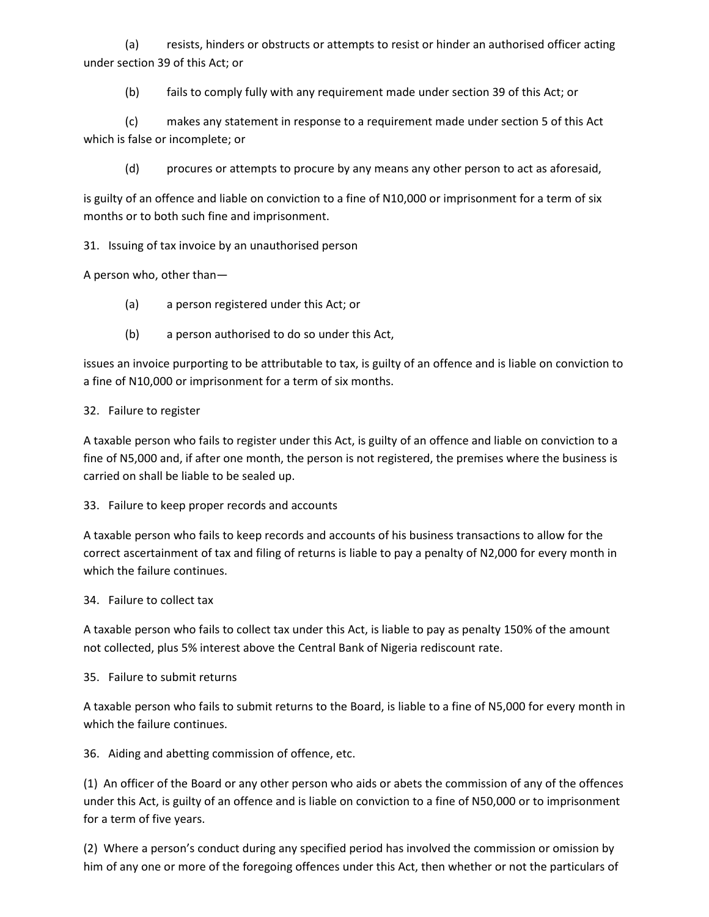(a) resists, hinders or obstructs or attempts to resist or hinder an authorised officer acting under section 39 of this Act; or

(b) fails to comply fully with any requirement made under section 39 of this Act; or

(c) makes any statement in response to a requirement made under section 5 of this Act which is false or incomplete; or

(d) procures or attempts to procure by any means any other person to act as aforesaid,

is guilty of an offence and liable on conviction to a fine of N10,000 or imprisonment for a term of six months or to both such fine and imprisonment.

31. Issuing of tax invoice by an unauthorised person

A person who, other than—

- (a) a person registered under this Act; or
- (b) a person authorised to do so under this Act,

issues an invoice purporting to be attributable to tax, is guilty of an offence and is liable on conviction to a fine of N10,000 or imprisonment for a term of six months.

## 32. Failure to register

A taxable person who fails to register under this Act, is guilty of an offence and liable on conviction to a fine of N5,000 and, if after one month, the person is not registered, the premises where the business is carried on shall be liable to be sealed up.

## 33. Failure to keep proper records and accounts

A taxable person who fails to keep records and accounts of his business transactions to allow for the correct ascertainment of tax and filing of returns is liable to pay a penalty of N2,000 for every month in which the failure continues.

## 34. Failure to collect tax

A taxable person who fails to collect tax under this Act, is liable to pay as penalty 150% of the amount not collected, plus 5% interest above the Central Bank of Nigeria rediscount rate.

## 35. Failure to submit returns

A taxable person who fails to submit returns to the Board, is liable to a fine of N5,000 for every month in which the failure continues.

36. Aiding and abetting commission of offence, etc.

(1) An officer of the Board or any other person who aids or abets the commission of any of the offences under this Act, is guilty of an offence and is liable on conviction to a fine of N50,000 or to imprisonment for a term of five years.

(2) Where a person's conduct during any specified period has involved the commission or omission by him of any one or more of the foregoing offences under this Act, then whether or not the particulars of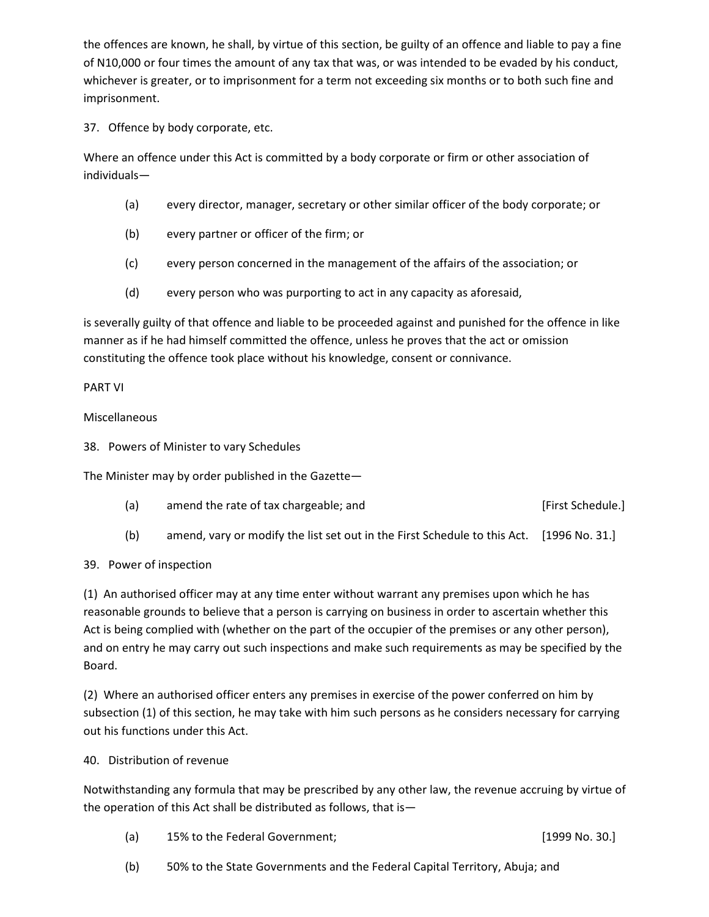the offences are known, he shall, by virtue of this section, be guilty of an offence and liable to pay a fine of N10,000 or four times the amount of any tax that was, or was intended to be evaded by his conduct, whichever is greater, or to imprisonment for a term not exceeding six months or to both such fine and imprisonment.

37. Offence by body corporate, etc.

Where an offence under this Act is committed by a body corporate or firm or other association of individuals—

- (a) every director, manager, secretary or other similar officer of the body corporate; or
- (b) every partner or officer of the firm; or
- (c) every person concerned in the management of the affairs of the association; or
- (d) every person who was purporting to act in any capacity as aforesaid,

is severally guilty of that offence and liable to be proceeded against and punished for the offence in like manner as if he had himself committed the offence, unless he proves that the act or omission constituting the offence took place without his knowledge, consent or connivance.

## PART VI

## Miscellaneous

38. Powers of Minister to vary Schedules

The Minister may by order published in the Gazette—

- (a) amend the rate of tax chargeable; and [First Schedule.]
- (b) amend, vary or modify the list set out in the First Schedule to this Act. [1996 No. 31.]

## 39. Power of inspection

(1) An authorised officer may at any time enter without warrant any premises upon which he has reasonable grounds to believe that a person is carrying on business in order to ascertain whether this Act is being complied with (whether on the part of the occupier of the premises or any other person), and on entry he may carry out such inspections and make such requirements as may be specified by the Board.

(2) Where an authorised officer enters any premises in exercise of the power conferred on him by subsection (1) of this section, he may take with him such persons as he considers necessary for carrying out his functions under this Act.

## 40. Distribution of revenue

Notwithstanding any formula that may be prescribed by any other law, the revenue accruing by virtue of the operation of this Act shall be distributed as follows, that is—

- (a) 15% to the Federal Government; [1999 No. 30.]
- (b) 50% to the State Governments and the Federal Capital Territory, Abuja; and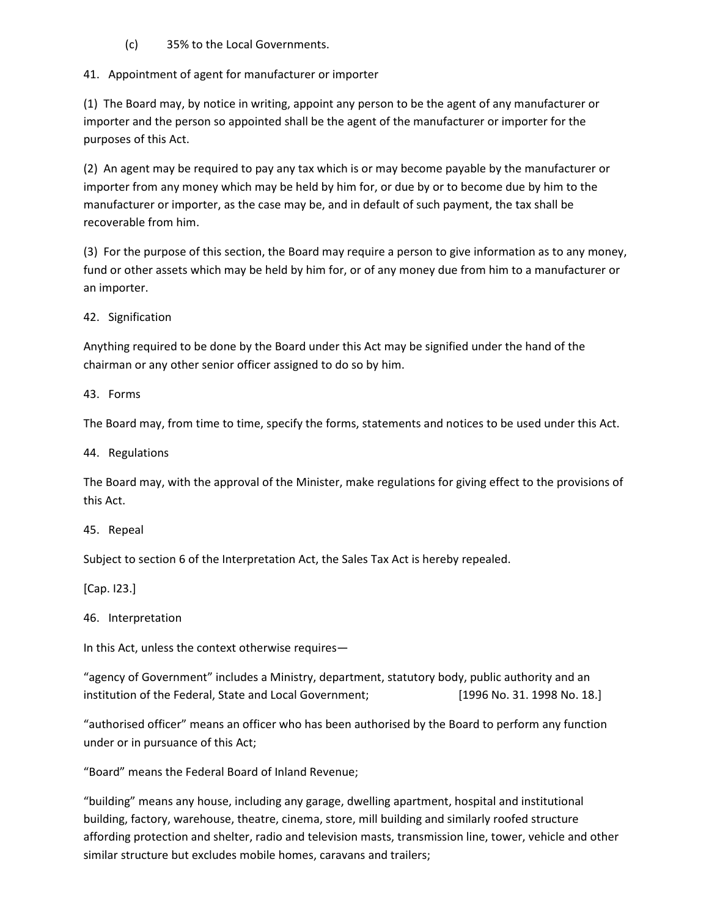(c) 35% to the Local Governments.

41. Appointment of agent for manufacturer or importer

(1) The Board may, by notice in writing, appoint any person to be the agent of any manufacturer or importer and the person so appointed shall be the agent of the manufacturer or importer for the purposes of this Act.

(2) An agent may be required to pay any tax which is or may become payable by the manufacturer or importer from any money which may be held by him for, or due by or to become due by him to the manufacturer or importer, as the case may be, and in default of such payment, the tax shall be recoverable from him.

(3) For the purpose of this section, the Board may require a person to give information as to any money, fund or other assets which may be held by him for, or of any money due from him to a manufacturer or an importer.

42. Signification

Anything required to be done by the Board under this Act may be signified under the hand of the chairman or any other senior officer assigned to do so by him.

43. Forms

The Board may, from time to time, specify the forms, statements and notices to be used under this Act.

44. Regulations

The Board may, with the approval of the Minister, make regulations for giving effect to the provisions of this Act.

45. Repeal

Subject to section 6 of the Interpretation Act, the Sales Tax Act is hereby repealed.

[Cap. I23.]

46. Interpretation

In this Act, unless the context otherwise requires—

"agency of Government" includes a Ministry, department, statutory body, public authority and an institution of the Federal, State and Local Government; [1996 No. 31. 1998 No. 18.]

"authorised officer" means an officer who has been authorised by the Board to perform any function under or in pursuance of this Act;

"Board" means the Federal Board of Inland Revenue;

"building" means any house, including any garage, dwelling apartment, hospital and institutional building, factory, warehouse, theatre, cinema, store, mill building and similarly roofed structure affording protection and shelter, radio and television masts, transmission line, tower, vehicle and other similar structure but excludes mobile homes, caravans and trailers;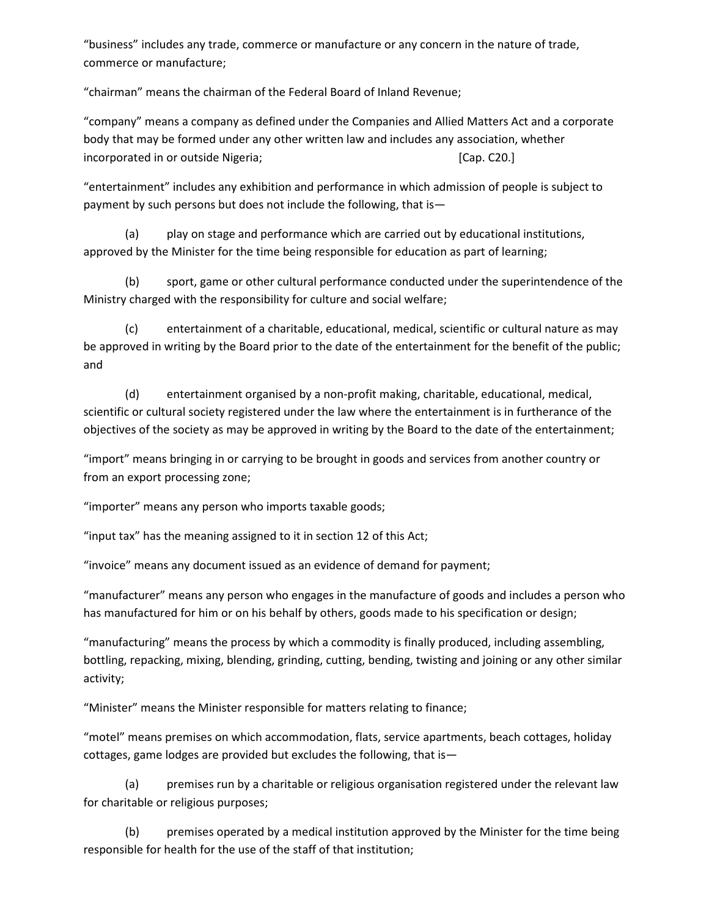"business" includes any trade, commerce or manufacture or any concern in the nature of trade, commerce or manufacture;

"chairman" means the chairman of the Federal Board of Inland Revenue;

"company" means a company as defined under the Companies and Allied Matters Act and a corporate body that may be formed under any other written law and includes any association, whether incorporated in or outside Nigeria; example 20. [Cap. C20.]

"entertainment" includes any exhibition and performance in which admission of people is subject to payment by such persons but does not include the following, that is—

(a) play on stage and performance which are carried out by educational institutions, approved by the Minister for the time being responsible for education as part of learning;

(b) sport, game or other cultural performance conducted under the superintendence of the Ministry charged with the responsibility for culture and social welfare;

(c) entertainment of a charitable, educational, medical, scientific or cultural nature as may be approved in writing by the Board prior to the date of the entertainment for the benefit of the public; and

(d) entertainment organised by a non-profit making, charitable, educational, medical, scientific or cultural society registered under the law where the entertainment is in furtherance of the objectives of the society as may be approved in writing by the Board to the date of the entertainment;

"import" means bringing in or carrying to be brought in goods and services from another country or from an export processing zone;

"importer" means any person who imports taxable goods;

"input tax" has the meaning assigned to it in section 12 of this Act;

"invoice" means any document issued as an evidence of demand for payment;

"manufacturer" means any person who engages in the manufacture of goods and includes a person who has manufactured for him or on his behalf by others, goods made to his specification or design;

"manufacturing" means the process by which a commodity is finally produced, including assembling, bottling, repacking, mixing, blending, grinding, cutting, bending, twisting and joining or any other similar activity;

"Minister" means the Minister responsible for matters relating to finance;

"motel" means premises on which accommodation, flats, service apartments, beach cottages, holiday cottages, game lodges are provided but excludes the following, that is—

(a) premises run by a charitable or religious organisation registered under the relevant law for charitable or religious purposes;

(b) premises operated by a medical institution approved by the Minister for the time being responsible for health for the use of the staff of that institution;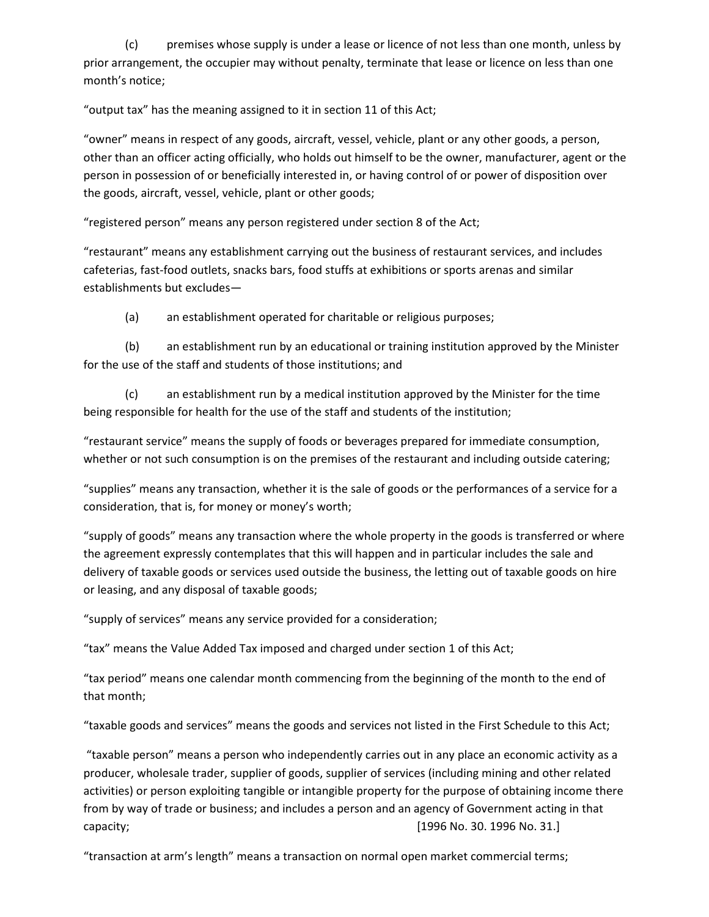(c) premises whose supply is under a lease or licence of not less than one month, unless by prior arrangement, the occupier may without penalty, terminate that lease or licence on less than one month's notice;

"output tax" has the meaning assigned to it in section 11 of this Act;

"owner" means in respect of any goods, aircraft, vessel, vehicle, plant or any other goods, a person, other than an officer acting officially, who holds out himself to be the owner, manufacturer, agent or the person in possession of or beneficially interested in, or having control of or power of disposition over the goods, aircraft, vessel, vehicle, plant or other goods;

"registered person" means any person registered under section 8 of the Act;

"restaurant" means any establishment carrying out the business of restaurant services, and includes cafeterias, fast-food outlets, snacks bars, food stuffs at exhibitions or sports arenas and similar establishments but excludes—

(a) an establishment operated for charitable or religious purposes;

(b) an establishment run by an educational or training institution approved by the Minister for the use of the staff and students of those institutions; and

(c) an establishment run by a medical institution approved by the Minister for the time being responsible for health for the use of the staff and students of the institution;

"restaurant service" means the supply of foods or beverages prepared for immediate consumption, whether or not such consumption is on the premises of the restaurant and including outside catering;

"supplies" means any transaction, whether it is the sale of goods or the performances of a service for a consideration, that is, for money or money's worth;

"supply of goods" means any transaction where the whole property in the goods is transferred or where the agreement expressly contemplates that this will happen and in particular includes the sale and delivery of taxable goods or services used outside the business, the letting out of taxable goods on hire or leasing, and any disposal of taxable goods;

"supply of services" means any service provided for a consideration;

"tax" means the Value Added Tax imposed and charged under section 1 of this Act;

"tax period" means one calendar month commencing from the beginning of the month to the end of that month;

"taxable goods and services" means the goods and services not listed in the First Schedule to this Act;

 "taxable person" means a person who independently carries out in any place an economic activity as a producer, wholesale trader, supplier of goods, supplier of services (including mining and other related activities) or person exploiting tangible or intangible property for the purpose of obtaining income there from by way of trade or business; and includes a person and an agency of Government acting in that capacity; [1996 No. 30. 1996 No. 31.]

"transaction at arm's length" means a transaction on normal open market commercial terms;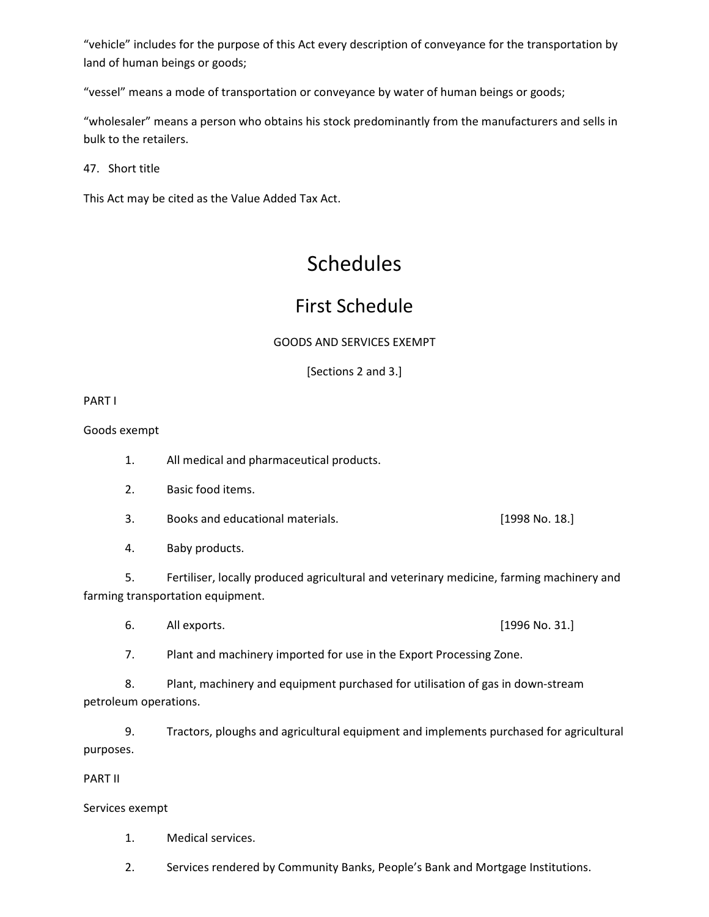"vehicle" includes for the purpose of this Act every description of conveyance for the transportation by land of human beings or goods;

"vessel" means a mode of transportation or conveyance by water of human beings or goods;

"wholesaler" means a person who obtains his stock predominantly from the manufacturers and sells in bulk to the retailers.

47. Short title

This Act may be cited as the Value Added Tax Act.

# Schedules

## First Schedule

## GOODS AND SERVICES EXEMPT

[Sections 2 and 3.]

PART I

Goods exempt

- 1. All medical and pharmaceutical products.
- 2. Basic food items.
- 3. Books and educational materials. [1998 No. 18.]
- 4. Baby products.

5. Fertiliser, locally produced agricultural and veterinary medicine, farming machinery and farming transportation equipment.

6. All exports. [1996 No. 31.]

7. Plant and machinery imported for use in the Export Processing Zone.

8. Plant, machinery and equipment purchased for utilisation of gas in down-stream petroleum operations.

9. Tractors, ploughs and agricultural equipment and implements purchased for agricultural purposes.

PART II

Services exempt

- 1. Medical services.
- 2. Services rendered by Community Banks, People's Bank and Mortgage Institutions.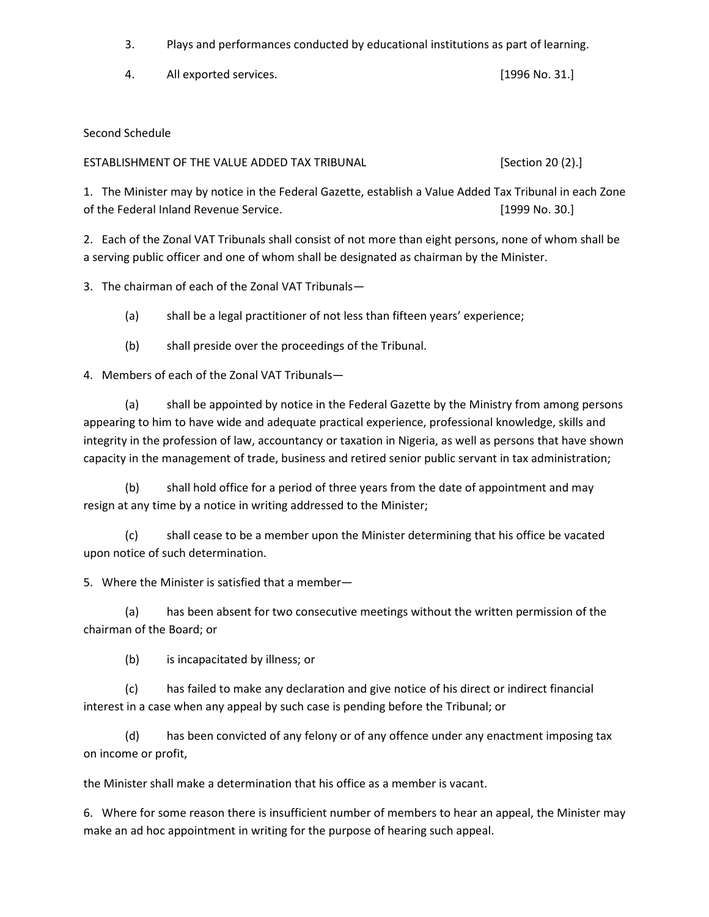3. Plays and performances conducted by educational institutions as part of learning.

4. All exported services. [1996 No. 31.]

## Second Schedule

ESTABLISHMENT OF THE VALUE ADDED TAX TRIBUNAL [Section 20 (2).]

1. The Minister may by notice in the Federal Gazette, establish a Value Added Tax Tribunal in each Zone of the Federal Inland Revenue Service. [1999 No. 30.]

2. Each of the Zonal VAT Tribunals shall consist of not more than eight persons, none of whom shall be a serving public officer and one of whom shall be designated as chairman by the Minister.

3. The chairman of each of the Zonal VAT Tribunals—

(a) shall be a legal practitioner of not less than fifteen years' experience;

(b) shall preside over the proceedings of the Tribunal.

4. Members of each of the Zonal VAT Tribunals—

(a) shall be appointed by notice in the Federal Gazette by the Ministry from among persons appearing to him to have wide and adequate practical experience, professional knowledge, skills and integrity in the profession of law, accountancy or taxation in Nigeria, as well as persons that have shown capacity in the management of trade, business and retired senior public servant in tax administration;

(b) shall hold office for a period of three years from the date of appointment and may resign at any time by a notice in writing addressed to the Minister;

(c) shall cease to be a member upon the Minister determining that his office be vacated upon notice of such determination.

5. Where the Minister is satisfied that a member—

(a) has been absent for two consecutive meetings without the written permission of the chairman of the Board; or

(b) is incapacitated by illness; or

(c) has failed to make any declaration and give notice of his direct or indirect financial interest in a case when any appeal by such case is pending before the Tribunal; or

(d) has been convicted of any felony or of any offence under any enactment imposing tax on income or profit,

the Minister shall make a determination that his office as a member is vacant.

6. Where for some reason there is insufficient number of members to hear an appeal, the Minister may make an ad hoc appointment in writing for the purpose of hearing such appeal.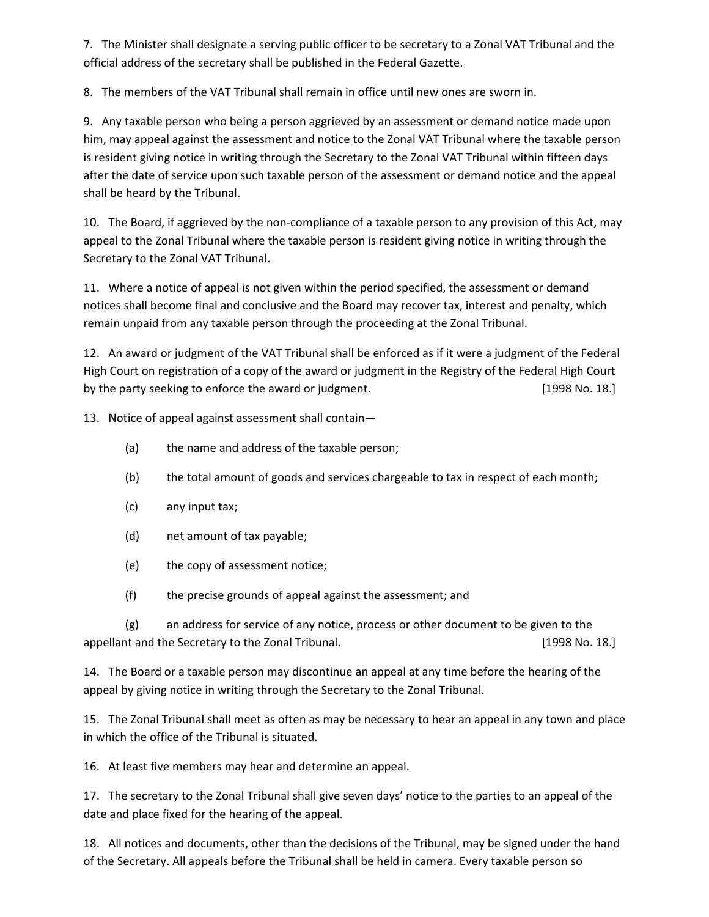7. The Minister shall designate a serving public officer to be secretary to a Zonal VAT Tribunal and the official address of the secretary shall be published in the Federal Gazette.

8. The members of the VAT Tribunal shall remain in office until new ones are sworn in.

9. Any taxable person who being a person aggrieved by an assessment or demand notice made upon him, may appeal against the assessment and notice to the Zonal VAT Tribunal where the taxable person is resident giving notice in writing through the Secretary to the Zonal VAT Tribunal within fifteen days after the date of service upon such taxable person of the assessment or demand notice and the appeal shall be heard by the Tribunal.

10. The Board, if aggrieved by the non-compliance of a taxable person to any provision of this Act, may appeal to the Zonal Tribunal where the taxable person is resident giving notice in writing through the Secretary to the Zonal VAT Tribunal.

11. Where a notice of appeal is not given within the period specified, the assessment or demand notices shall become final and conclusive and the Board may recover tax, interest and penalty, which remain unpaid from any taxable person through the proceeding at the Zonal Tribunal.

12. An award or judgment of the VAT Tribunal shall be enforced as if it were a judgment of the Federal High Court on registration of a copy of the award or judgment in the Registry of the Federal High Court by the party seeking to enforce the award or judgment. [1998 No. 18.]

13. Notice of appeal against assessment shall contain—

- (a) the name and address of the taxable person;
- (b) the total amount of goods and services chargeable to tax in respect of each month;
- (c) any input tax;
- (d) net amount of tax payable;
- (e) the copy of assessment notice;
- (f) the precise grounds of appeal against the assessment; and

(g) an address for service of any notice, process or other document to be given to the appellant and the Secretary to the Zonal Tribunal. [1998 No. 18.]

14. The Board or a taxable person may discontinue an appeal at any time before the hearing of the appeal by giving notice in writing through the Secretary to the Zonal Tribunal.

15. The Zonal Tribunal shall meet as often as may be necessary to hear an appeal in any town and place in which the office of the Tribunal is situated.

16. At least five members may hear and determine an appeal.

17. The secretary to the Zonal Tribunal shall give seven days' notice to the parties to an appeal of the date and place fixed for the hearing of the appeal.

18. All notices and documents, other than the decisions of the Tribunal, may be signed under the hand of the Secretary. All appeals before the Tribunal shall be held in camera. Every taxable person so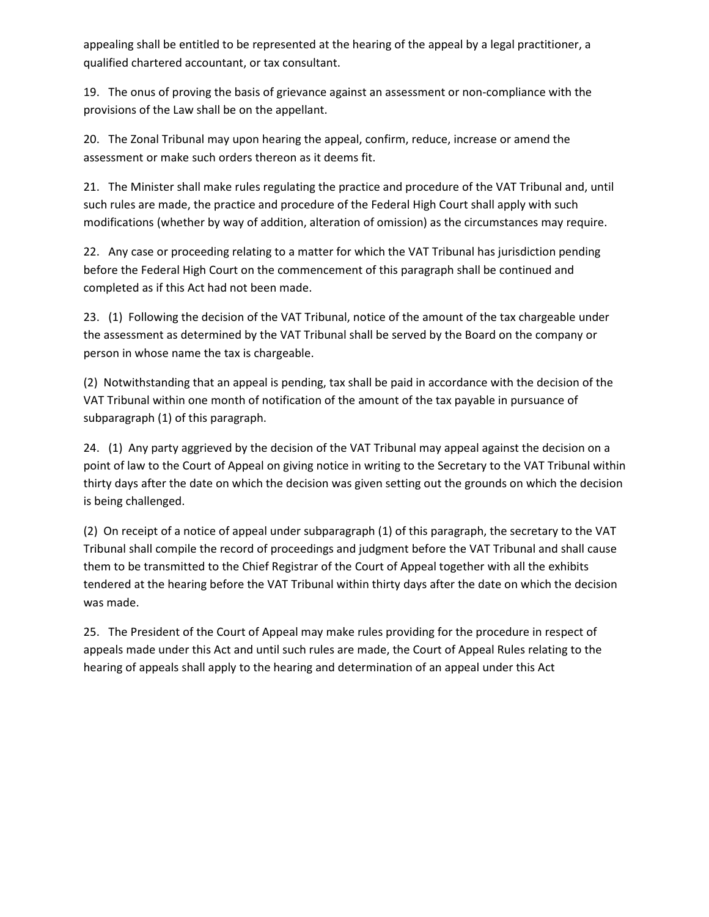appealing shall be entitled to be represented at the hearing of the appeal by a legal practitioner, a qualified chartered accountant, or tax consultant.

19. The onus of proving the basis of grievance against an assessment or non-compliance with the provisions of the Law shall be on the appellant.

20. The Zonal Tribunal may upon hearing the appeal, confirm, reduce, increase or amend the assessment or make such orders thereon as it deems fit.

21. The Minister shall make rules regulating the practice and procedure of the VAT Tribunal and, until such rules are made, the practice and procedure of the Federal High Court shall apply with such modifications (whether by way of addition, alteration of omission) as the circumstances may require.

22. Any case or proceeding relating to a matter for which the VAT Tribunal has jurisdiction pending before the Federal High Court on the commencement of this paragraph shall be continued and completed as if this Act had not been made.

23. (1) Following the decision of the VAT Tribunal, notice of the amount of the tax chargeable under the assessment as determined by the VAT Tribunal shall be served by the Board on the company or person in whose name the tax is chargeable.

(2) Notwithstanding that an appeal is pending, tax shall be paid in accordance with the decision of the VAT Tribunal within one month of notification of the amount of the tax payable in pursuance of subparagraph (1) of this paragraph.

24. (1) Any party aggrieved by the decision of the VAT Tribunal may appeal against the decision on a point of law to the Court of Appeal on giving notice in writing to the Secretary to the VAT Tribunal within thirty days after the date on which the decision was given setting out the grounds on which the decision is being challenged.

(2) On receipt of a notice of appeal under subparagraph (1) of this paragraph, the secretary to the VAT Tribunal shall compile the record of proceedings and judgment before the VAT Tribunal and shall cause them to be transmitted to the Chief Registrar of the Court of Appeal together with all the exhibits tendered at the hearing before the VAT Tribunal within thirty days after the date on which the decision was made.

25. The President of the Court of Appeal may make rules providing for the procedure in respect of appeals made under this Act and until such rules are made, the Court of Appeal Rules relating to the hearing of appeals shall apply to the hearing and determination of an appeal under this Act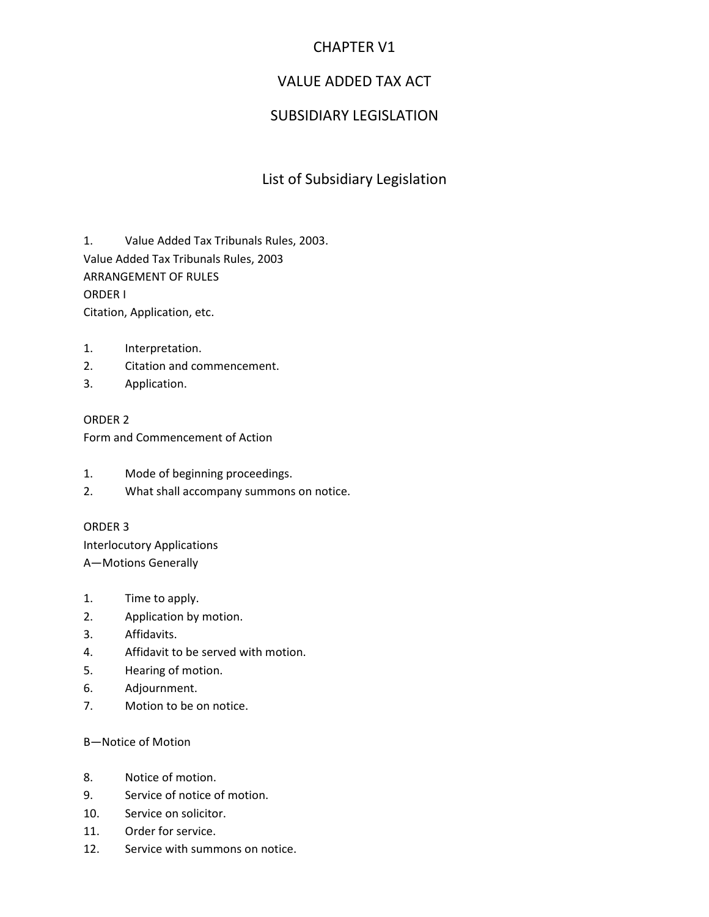## CHAPTER V1

## VALUE ADDED TAX ACT

## SUBSIDIARY LEGISLATION

## List of Subsidiary Legislation

1. Value Added Tax Tribunals Rules, 2003. Value Added Tax Tribunals Rules, 2003 ARRANGEMENT OF RULES ORDER I Citation, Application, etc.

- 1. Interpretation.
- 2. Citation and commencement.
- 3. Application.

ORDER 2 Form and Commencement of Action

- 1. Mode of beginning proceedings.
- 2. What shall accompany summons on notice.

## ORDER 3

Interlocutory Applications A—Motions Generally

- 1. Time to apply.
- 2. Application by motion.
- 3. Affidavits.
- 4. Affidavit to be served with motion.
- 5. Hearing of motion.
- 6. Adjournment.
- 7. Motion to be on notice.

## B—Notice of Motion

- 8. Notice of motion.
- 9. Service of notice of motion.
- 10. Service on solicitor.
- 11. Order for service.
- 12. Service with summons on notice.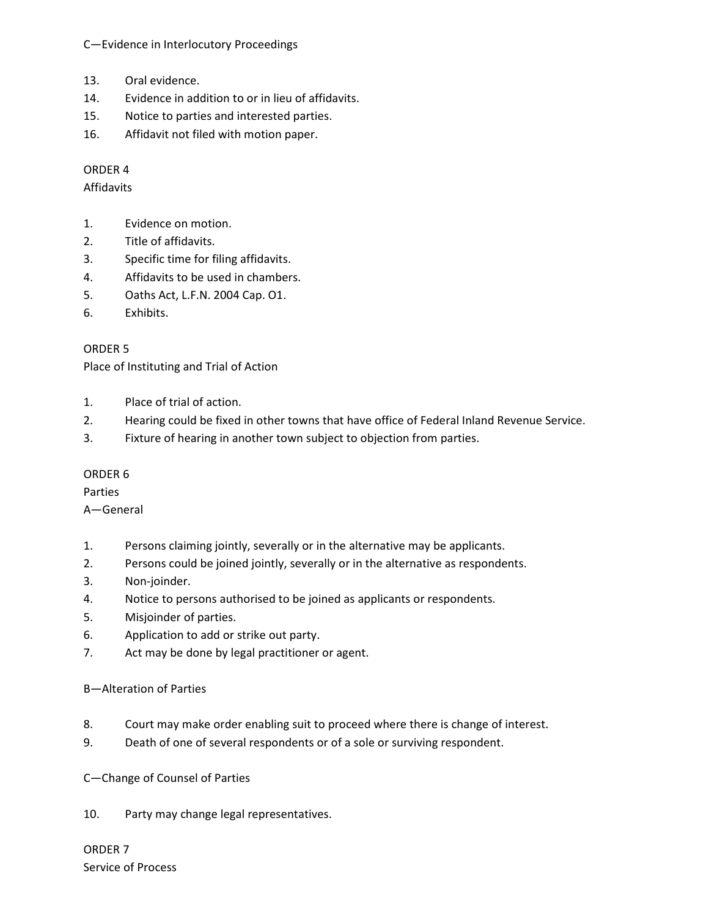C—Evidence in Interlocutory Proceedings

- 13. Oral evidence.
- 14. Evidence in addition to or in lieu of affidavits.
- 15. Notice to parties and interested parties.
- 16. Affidavit not filed with motion paper.

## ORDER 4

## Affidavits

- 1. Evidence on motion.
- 2. Title of affidavits.
- 3. Specific time for filing affidavits.
- 4. Affidavits to be used in chambers.
- 5. Oaths Act, L.F.N. 2004 Cap. O1.
- 6. Exhibits.

## ORDER 5

Place of Instituting and Trial of Action

- 1. Place of trial of action.
- 2. Hearing could be fixed in other towns that have office of Federal Inland Revenue Service.
- 3. Fixture of hearing in another town subject to objection from parties.

## ORDER 6

Parties

A—General

- 1. Persons claiming jointly, severally or in the alternative may be applicants.
- 2. Persons could be joined jointly, severally or in the alternative as respondents.
- 3. Non-joinder.
- 4. Notice to persons authorised to be joined as applicants or respondents.
- 5. Misjoinder of parties.
- 6. Application to add or strike out party.
- 7. Act may be done by legal practitioner or agent.

## B—Alteration of Parties

- 8. Court may make order enabling suit to proceed where there is change of interest.
- 9. Death of one of several respondents or of a sole or surviving respondent.

C—Change of Counsel of Parties

10. Party may change legal representatives.

ORDER 7 Service of Process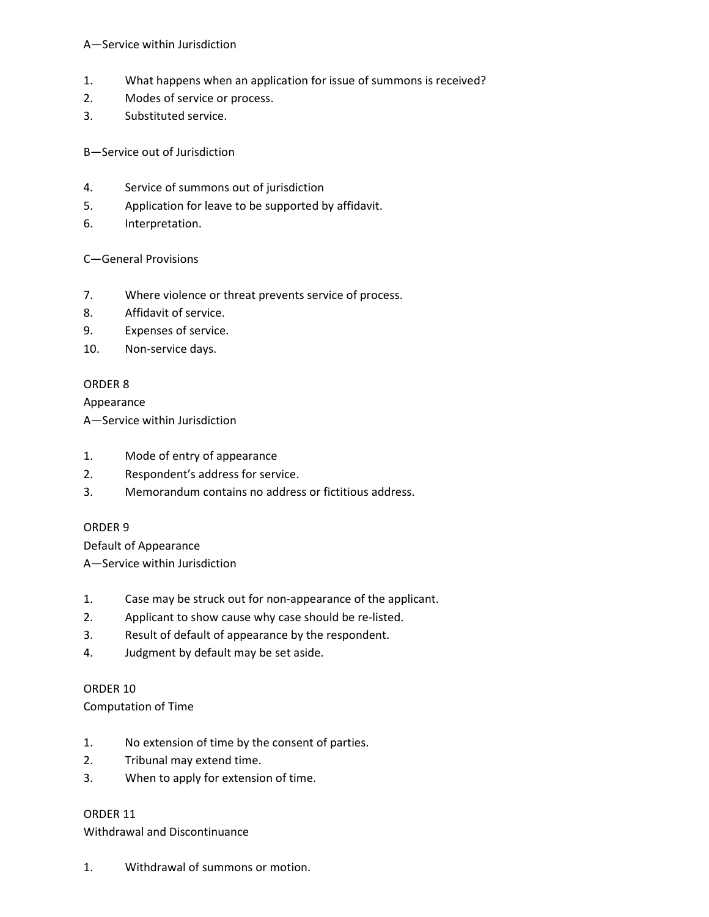## A—Service within Jurisdiction

- 1. What happens when an application for issue of summons is received?
- 2. Modes of service or process.
- 3. Substituted service.

B—Service out of Jurisdiction

- 4. Service of summons out of jurisdiction
- 5. Application for leave to be supported by affidavit.
- 6. Interpretation.

## C—General Provisions

- 7. Where violence or threat prevents service of process.
- 8. Affidavit of service.
- 9. Expenses of service.
- 10. Non-service days.

## ORDER 8

Appearance

A—Service within Jurisdiction

- 1. Mode of entry of appearance
- 2. Respondent's address for service.
- 3. Memorandum contains no address or fictitious address.

## ORDER 9

Default of Appearance A—Service within Jurisdiction

- 1. Case may be struck out for non-appearance of the applicant.
- 2. Applicant to show cause why case should be re-listed.
- 3. Result of default of appearance by the respondent.
- 4. Judgment by default may be set aside.

ORDER 10

Computation of Time

- 1. No extension of time by the consent of parties.
- 2. Tribunal may extend time.
- 3. When to apply for extension of time.

## ORDER 11

Withdrawal and Discontinuance

1. Withdrawal of summons or motion.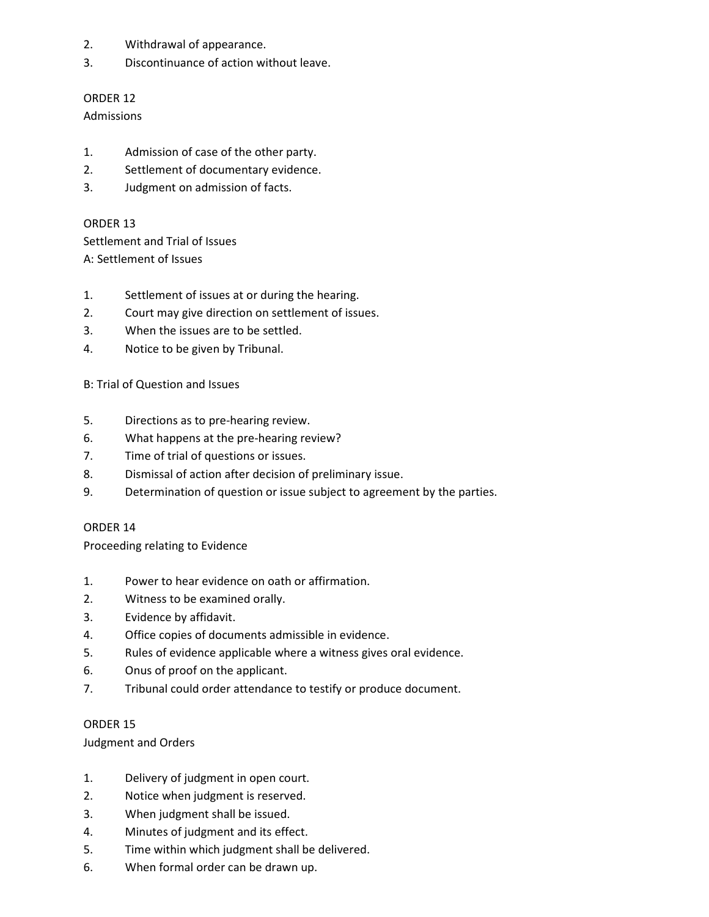- 2. Withdrawal of appearance.
- 3. Discontinuance of action without leave.

## ORDER 12

Admissions

- 1. Admission of case of the other party.
- 2. Settlement of documentary evidence.
- 3. Judgment on admission of facts.

ORDER 13

Settlement and Trial of Issues A: Settlement of Issues

- 1. Settlement of issues at or during the hearing.
- 2. Court may give direction on settlement of issues.
- 3. When the issues are to be settled.
- 4. Notice to be given by Tribunal.

## B: Trial of Question and Issues

- 5. Directions as to pre-hearing review.
- 6. What happens at the pre-hearing review?
- 7. Time of trial of questions or issues.
- 8. Dismissal of action after decision of preliminary issue.
- 9. Determination of question or issue subject to agreement by the parties.

## ORDER 14

Proceeding relating to Evidence

- 1. Power to hear evidence on oath or affirmation.
- 2. Witness to be examined orally.
- 3. Evidence by affidavit.
- 4. Office copies of documents admissible in evidence.
- 5. Rules of evidence applicable where a witness gives oral evidence.
- 6. Onus of proof on the applicant.
- 7. Tribunal could order attendance to testify or produce document.

## ORDER 15

## Judgment and Orders

- 1. Delivery of judgment in open court.
- 2. Notice when judgment is reserved.
- 3. When judgment shall be issued.
- 4. Minutes of judgment and its effect.
- 5. Time within which judgment shall be delivered.
- 6. When formal order can be drawn up.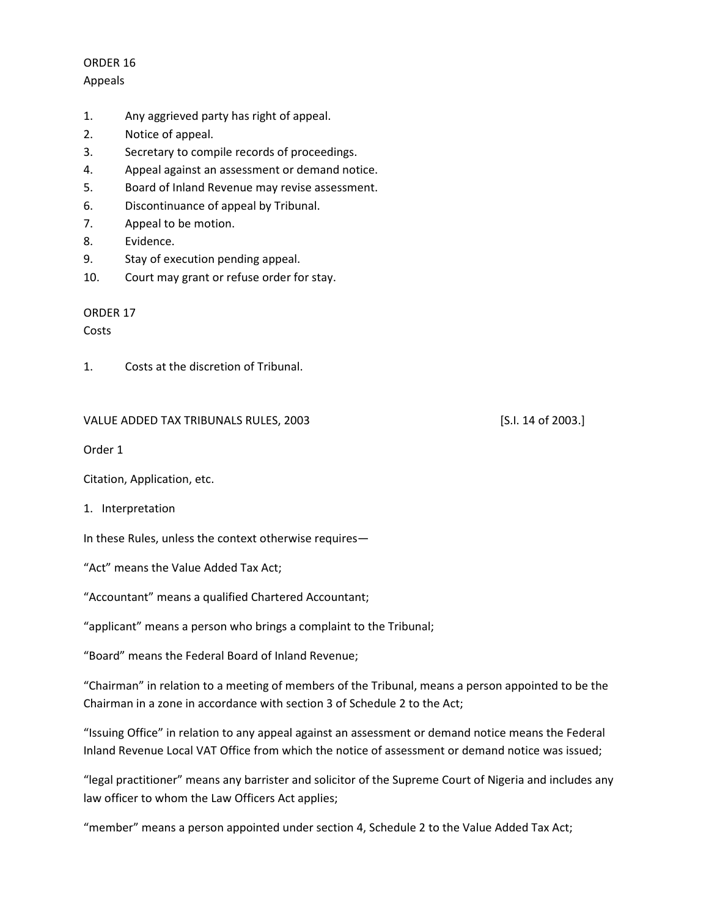## ORDER 16 Appeals

- 1. Any aggrieved party has right of appeal.
- 2. Notice of appeal.
- 3. Secretary to compile records of proceedings.
- 4. Appeal against an assessment or demand notice.
- 5. Board of Inland Revenue may revise assessment.
- 6. Discontinuance of appeal by Tribunal.
- 7. Appeal to be motion.
- 8. Evidence.
- 9. Stay of execution pending appeal.
- 10. Court may grant or refuse order for stay.

## ORDER 17

Costs

1. Costs at the discretion of Tribunal.

## VALUE ADDED TAX TRIBUNALS RULES, 2003 [S.I. 14 of 2003.]

Order 1

Citation, Application, etc.

1. Interpretation

In these Rules, unless the context otherwise requires—

"Act" means the Value Added Tax Act;

"Accountant" means a qualified Chartered Accountant;

"applicant" means a person who brings a complaint to the Tribunal;

"Board" means the Federal Board of Inland Revenue;

"Chairman" in relation to a meeting of members of the Tribunal, means a person appointed to be the Chairman in a zone in accordance with section 3 of Schedule 2 to the Act;

"Issuing Office" in relation to any appeal against an assessment or demand notice means the Federal Inland Revenue Local VAT Office from which the notice of assessment or demand notice was issued;

"legal practitioner" means any barrister and solicitor of the Supreme Court of Nigeria and includes any law officer to whom the Law Officers Act applies;

"member" means a person appointed under section 4, Schedule 2 to the Value Added Tax Act;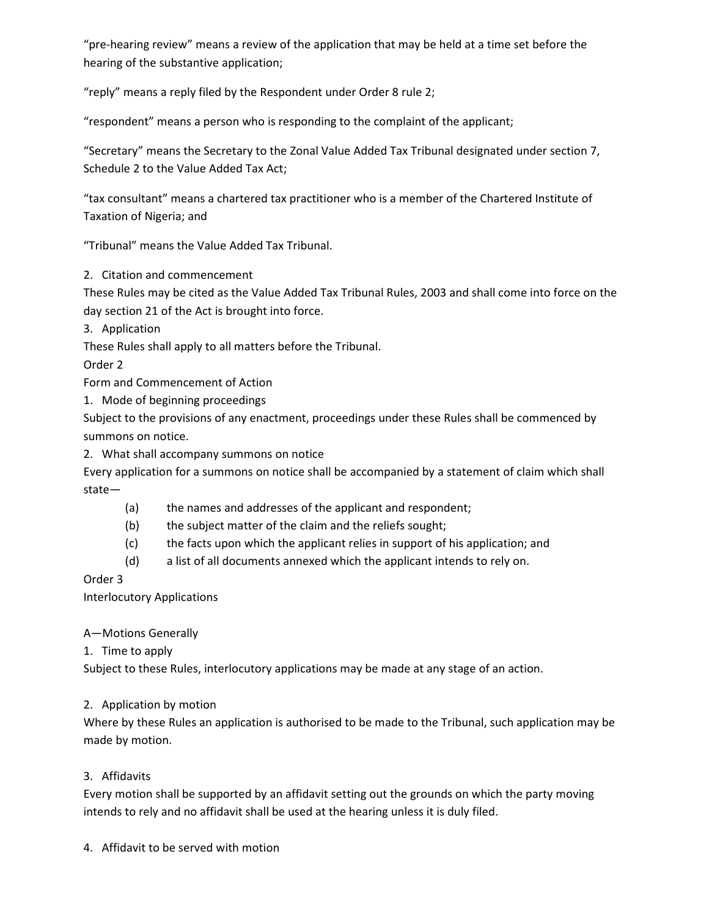"pre-hearing review" means a review of the application that may be held at a time set before the hearing of the substantive application;

"reply" means a reply filed by the Respondent under Order 8 rule 2;

"respondent" means a person who is responding to the complaint of the applicant;

"Secretary" means the Secretary to the Zonal Value Added Tax Tribunal designated under section 7, Schedule 2 to the Value Added Tax Act;

"tax consultant" means a chartered tax practitioner who is a member of the Chartered Institute of Taxation of Nigeria; and

"Tribunal" means the Value Added Tax Tribunal.

2. Citation and commencement

These Rules may be cited as the Value Added Tax Tribunal Rules, 2003 and shall come into force on the day section 21 of the Act is brought into force.

3. Application

These Rules shall apply to all matters before the Tribunal.

Order 2

Form and Commencement of Action

1. Mode of beginning proceedings

Subject to the provisions of any enactment, proceedings under these Rules shall be commenced by summons on notice.

2. What shall accompany summons on notice

Every application for a summons on notice shall be accompanied by a statement of claim which shall state—

- (a) the names and addresses of the applicant and respondent;
- (b) the subject matter of the claim and the reliefs sought;
- (c) the facts upon which the applicant relies in support of his application; and
- (d) a list of all documents annexed which the applicant intends to rely on.

Order 3

Interlocutory Applications

## A—Motions Generally

1. Time to apply

Subject to these Rules, interlocutory applications may be made at any stage of an action.

## 2. Application by motion

Where by these Rules an application is authorised to be made to the Tribunal, such application may be made by motion.

## 3. Affidavits

Every motion shall be supported by an affidavit setting out the grounds on which the party moving intends to rely and no affidavit shall be used at the hearing unless it is duly filed.

4. Affidavit to be served with motion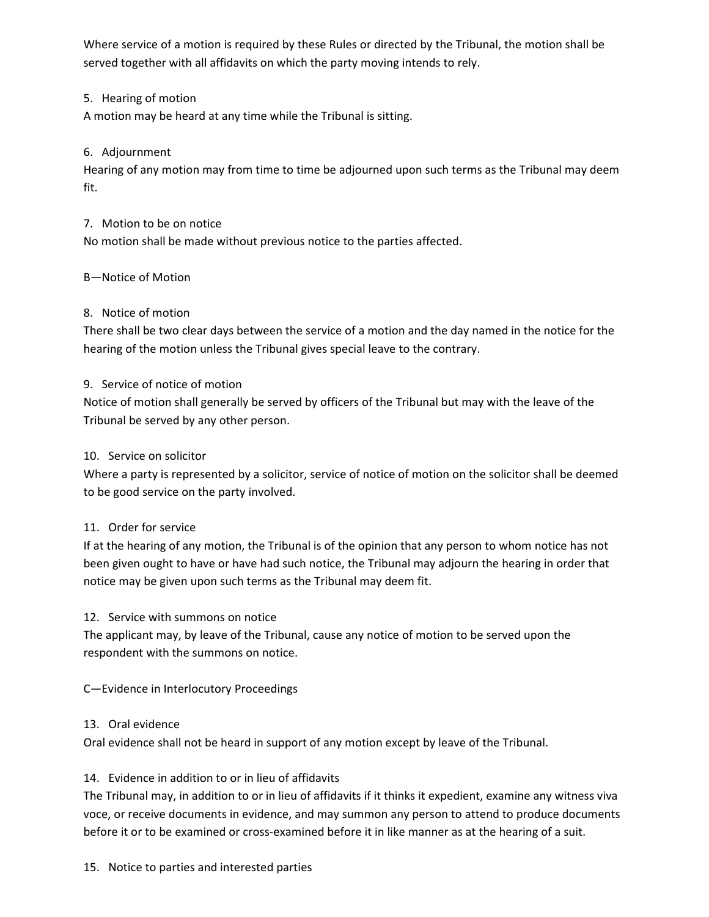Where service of a motion is required by these Rules or directed by the Tribunal, the motion shall be served together with all affidavits on which the party moving intends to rely.

## 5. Hearing of motion

A motion may be heard at any time while the Tribunal is sitting.

## 6. Adjournment

Hearing of any motion may from time to time be adjourned upon such terms as the Tribunal may deem fit.

## 7. Motion to be on notice

No motion shall be made without previous notice to the parties affected.

## B—Notice of Motion

## 8. Notice of motion

There shall be two clear days between the service of a motion and the day named in the notice for the hearing of the motion unless the Tribunal gives special leave to the contrary.

## 9. Service of notice of motion

Notice of motion shall generally be served by officers of the Tribunal but may with the leave of the Tribunal be served by any other person.

## 10. Service on solicitor

Where a party is represented by a solicitor, service of notice of motion on the solicitor shall be deemed to be good service on the party involved.

## 11. Order for service

If at the hearing of any motion, the Tribunal is of the opinion that any person to whom notice has not been given ought to have or have had such notice, the Tribunal may adjourn the hearing in order that notice may be given upon such terms as the Tribunal may deem fit.

## 12. Service with summons on notice

The applicant may, by leave of the Tribunal, cause any notice of motion to be served upon the respondent with the summons on notice.

C—Evidence in Interlocutory Proceedings

## 13. Oral evidence

Oral evidence shall not be heard in support of any motion except by leave of the Tribunal.

## 14. Evidence in addition to or in lieu of affidavits

The Tribunal may, in addition to or in lieu of affidavits if it thinks it expedient, examine any witness viva voce, or receive documents in evidence, and may summon any person to attend to produce documents before it or to be examined or cross-examined before it in like manner as at the hearing of a suit.

## 15. Notice to parties and interested parties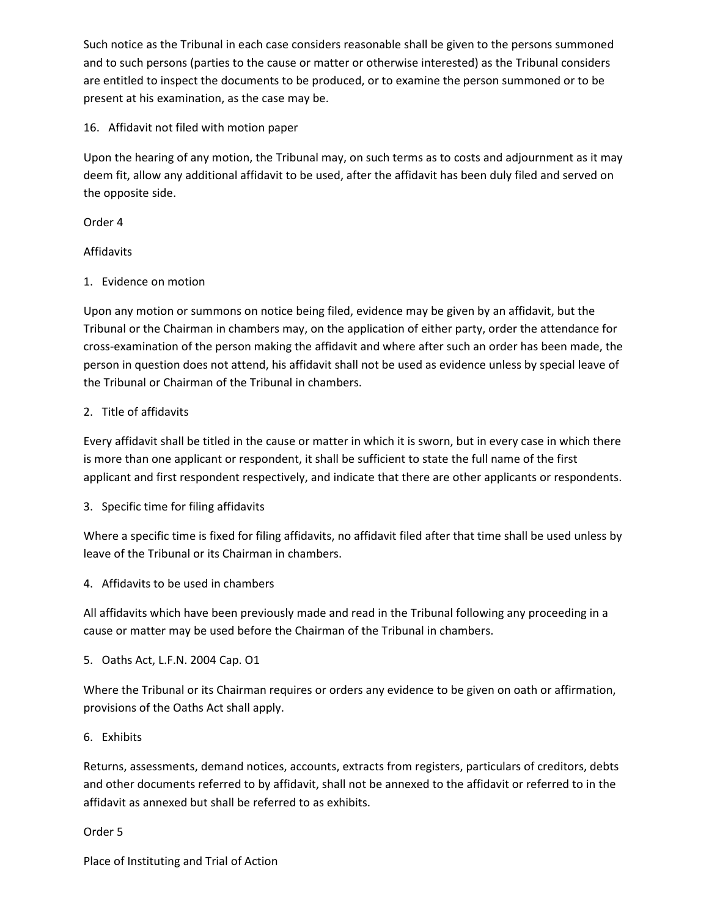Such notice as the Tribunal in each case considers reasonable shall be given to the persons summoned and to such persons (parties to the cause or matter or otherwise interested) as the Tribunal considers are entitled to inspect the documents to be produced, or to examine the person summoned or to be present at his examination, as the case may be.

16. Affidavit not filed with motion paper

Upon the hearing of any motion, the Tribunal may, on such terms as to costs and adjournment as it may deem fit, allow any additional affidavit to be used, after the affidavit has been duly filed and served on the opposite side.

Order 4

## Affidavits

1. Evidence on motion

Upon any motion or summons on notice being filed, evidence may be given by an affidavit, but the Tribunal or the Chairman in chambers may, on the application of either party, order the attendance for cross-examination of the person making the affidavit and where after such an order has been made, the person in question does not attend, his affidavit shall not be used as evidence unless by special leave of the Tribunal or Chairman of the Tribunal in chambers.

## 2. Title of affidavits

Every affidavit shall be titled in the cause or matter in which it is sworn, but in every case in which there is more than one applicant or respondent, it shall be sufficient to state the full name of the first applicant and first respondent respectively, and indicate that there are other applicants or respondents.

3. Specific time for filing affidavits

Where a specific time is fixed for filing affidavits, no affidavit filed after that time shall be used unless by leave of the Tribunal or its Chairman in chambers.

4. Affidavits to be used in chambers

All affidavits which have been previously made and read in the Tribunal following any proceeding in a cause or matter may be used before the Chairman of the Tribunal in chambers.

5. Oaths Act, L.F.N. 2004 Cap. O1

Where the Tribunal or its Chairman requires or orders any evidence to be given on oath or affirmation, provisions of the Oaths Act shall apply.

6. Exhibits

Returns, assessments, demand notices, accounts, extracts from registers, particulars of creditors, debts and other documents referred to by affidavit, shall not be annexed to the affidavit or referred to in the affidavit as annexed but shall be referred to as exhibits.

Order 5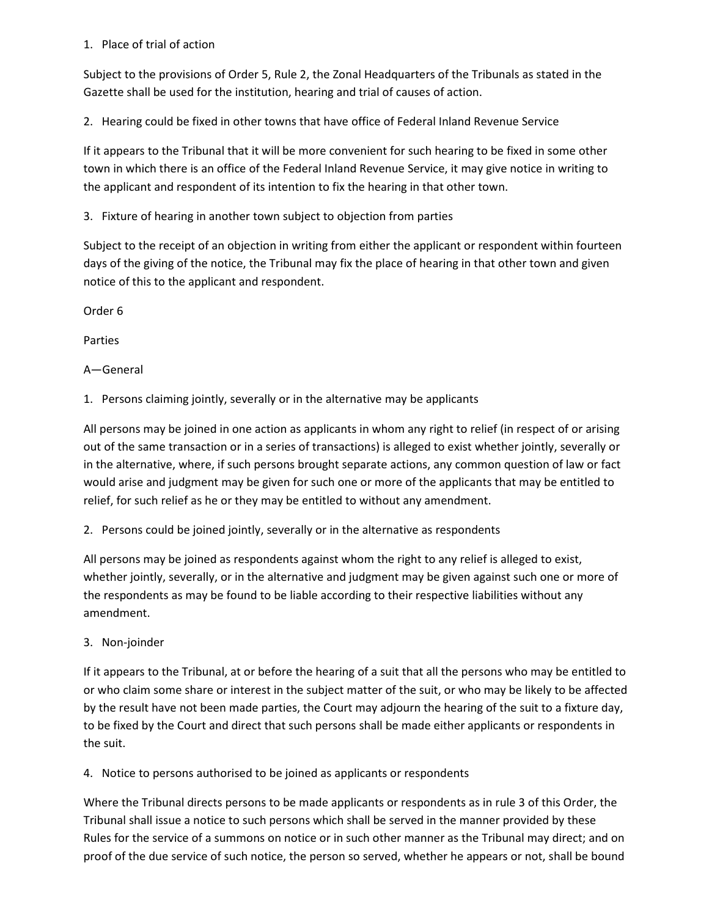## 1. Place of trial of action

Subject to the provisions of Order 5, Rule 2, the Zonal Headquarters of the Tribunals as stated in the Gazette shall be used for the institution, hearing and trial of causes of action.

2. Hearing could be fixed in other towns that have office of Federal Inland Revenue Service

If it appears to the Tribunal that it will be more convenient for such hearing to be fixed in some other town in which there is an office of the Federal Inland Revenue Service, it may give notice in writing to the applicant and respondent of its intention to fix the hearing in that other town.

3. Fixture of hearing in another town subject to objection from parties

Subject to the receipt of an objection in writing from either the applicant or respondent within fourteen days of the giving of the notice, the Tribunal may fix the place of hearing in that other town and given notice of this to the applicant and respondent.

Order 6

Parties

A—General

1. Persons claiming jointly, severally or in the alternative may be applicants

All persons may be joined in one action as applicants in whom any right to relief (in respect of or arising out of the same transaction or in a series of transactions) is alleged to exist whether jointly, severally or in the alternative, where, if such persons brought separate actions, any common question of law or fact would arise and judgment may be given for such one or more of the applicants that may be entitled to relief, for such relief as he or they may be entitled to without any amendment.

2. Persons could be joined jointly, severally or in the alternative as respondents

All persons may be joined as respondents against whom the right to any relief is alleged to exist, whether jointly, severally, or in the alternative and judgment may be given against such one or more of the respondents as may be found to be liable according to their respective liabilities without any amendment.

3. Non-joinder

If it appears to the Tribunal, at or before the hearing of a suit that all the persons who may be entitled to or who claim some share or interest in the subject matter of the suit, or who may be likely to be affected by the result have not been made parties, the Court may adjourn the hearing of the suit to a fixture day, to be fixed by the Court and direct that such persons shall be made either applicants or respondents in the suit.

4. Notice to persons authorised to be joined as applicants or respondents

Where the Tribunal directs persons to be made applicants or respondents as in rule 3 of this Order, the Tribunal shall issue a notice to such persons which shall be served in the manner provided by these Rules for the service of a summons on notice or in such other manner as the Tribunal may direct; and on proof of the due service of such notice, the person so served, whether he appears or not, shall be bound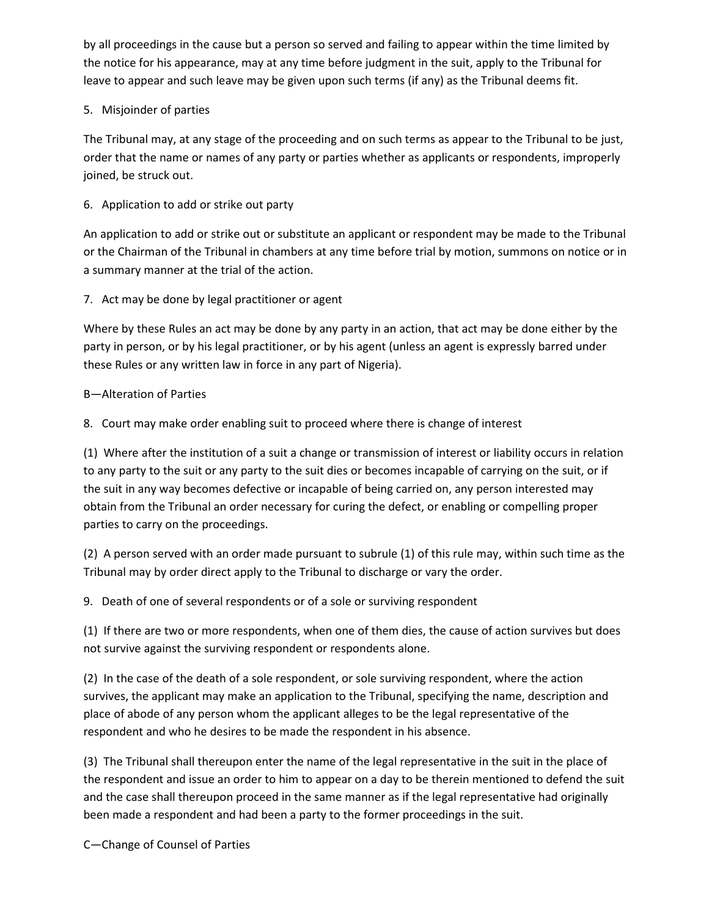by all proceedings in the cause but a person so served and failing to appear within the time limited by the notice for his appearance, may at any time before judgment in the suit, apply to the Tribunal for leave to appear and such leave may be given upon such terms (if any) as the Tribunal deems fit.

## 5. Misjoinder of parties

The Tribunal may, at any stage of the proceeding and on such terms as appear to the Tribunal to be just, order that the name or names of any party or parties whether as applicants or respondents, improperly joined, be struck out.

6. Application to add or strike out party

An application to add or strike out or substitute an applicant or respondent may be made to the Tribunal or the Chairman of the Tribunal in chambers at any time before trial by motion, summons on notice or in a summary manner at the trial of the action.

7. Act may be done by legal practitioner or agent

Where by these Rules an act may be done by any party in an action, that act may be done either by the party in person, or by his legal practitioner, or by his agent (unless an agent is expressly barred under these Rules or any written law in force in any part of Nigeria).

## B—Alteration of Parties

8. Court may make order enabling suit to proceed where there is change of interest

(1) Where after the institution of a suit a change or transmission of interest or liability occurs in relation to any party to the suit or any party to the suit dies or becomes incapable of carrying on the suit, or if the suit in any way becomes defective or incapable of being carried on, any person interested may obtain from the Tribunal an order necessary for curing the defect, or enabling or compelling proper parties to carry on the proceedings.

(2) A person served with an order made pursuant to subrule (1) of this rule may, within such time as the Tribunal may by order direct apply to the Tribunal to discharge or vary the order.

9. Death of one of several respondents or of a sole or surviving respondent

(1) If there are two or more respondents, when one of them dies, the cause of action survives but does not survive against the surviving respondent or respondents alone.

(2) In the case of the death of a sole respondent, or sole surviving respondent, where the action survives, the applicant may make an application to the Tribunal, specifying the name, description and place of abode of any person whom the applicant alleges to be the legal representative of the respondent and who he desires to be made the respondent in his absence.

(3) The Tribunal shall thereupon enter the name of the legal representative in the suit in the place of the respondent and issue an order to him to appear on a day to be therein mentioned to defend the suit and the case shall thereupon proceed in the same manner as if the legal representative had originally been made a respondent and had been a party to the former proceedings in the suit.

C—Change of Counsel of Parties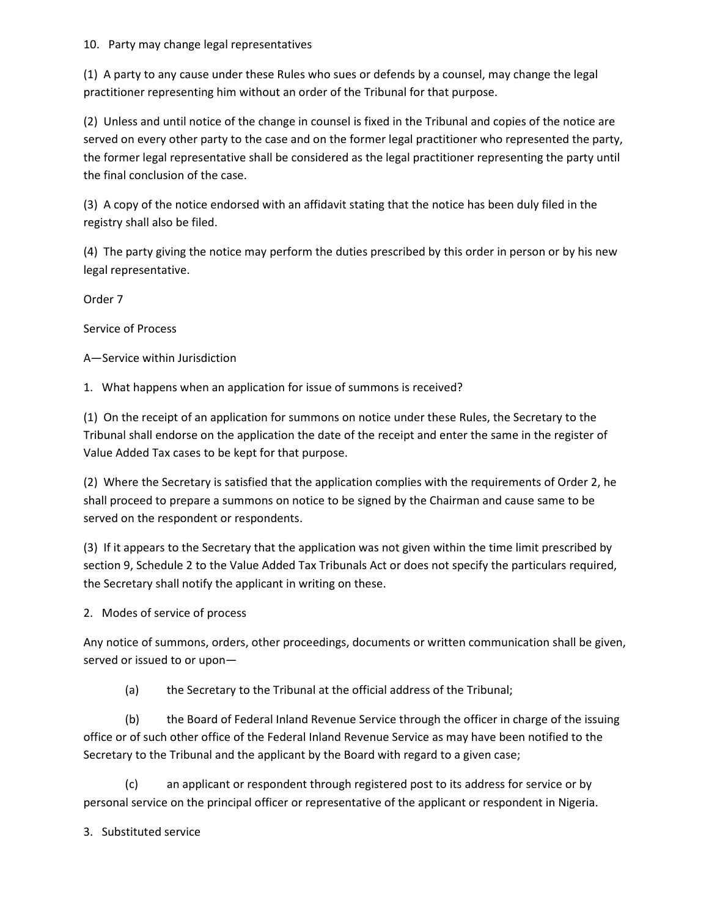## 10. Party may change legal representatives

(1) A party to any cause under these Rules who sues or defends by a counsel, may change the legal practitioner representing him without an order of the Tribunal for that purpose.

(2) Unless and until notice of the change in counsel is fixed in the Tribunal and copies of the notice are served on every other party to the case and on the former legal practitioner who represented the party, the former legal representative shall be considered as the legal practitioner representing the party until the final conclusion of the case.

(3) A copy of the notice endorsed with an affidavit stating that the notice has been duly filed in the registry shall also be filed.

(4) The party giving the notice may perform the duties prescribed by this order in person or by his new legal representative.

Order 7

Service of Process

A—Service within Jurisdiction

1. What happens when an application for issue of summons is received?

(1) On the receipt of an application for summons on notice under these Rules, the Secretary to the Tribunal shall endorse on the application the date of the receipt and enter the same in the register of Value Added Tax cases to be kept for that purpose.

(2) Where the Secretary is satisfied that the application complies with the requirements of Order 2, he shall proceed to prepare a summons on notice to be signed by the Chairman and cause same to be served on the respondent or respondents.

(3) If it appears to the Secretary that the application was not given within the time limit prescribed by section 9, Schedule 2 to the Value Added Tax Tribunals Act or does not specify the particulars required, the Secretary shall notify the applicant in writing on these.

2. Modes of service of process

Any notice of summons, orders, other proceedings, documents or written communication shall be given, served or issued to or upon—

(a) the Secretary to the Tribunal at the official address of the Tribunal;

(b) the Board of Federal Inland Revenue Service through the officer in charge of the issuing office or of such other office of the Federal Inland Revenue Service as may have been notified to the Secretary to the Tribunal and the applicant by the Board with regard to a given case;

(c) an applicant or respondent through registered post to its address for service or by personal service on the principal officer or representative of the applicant or respondent in Nigeria.

3. Substituted service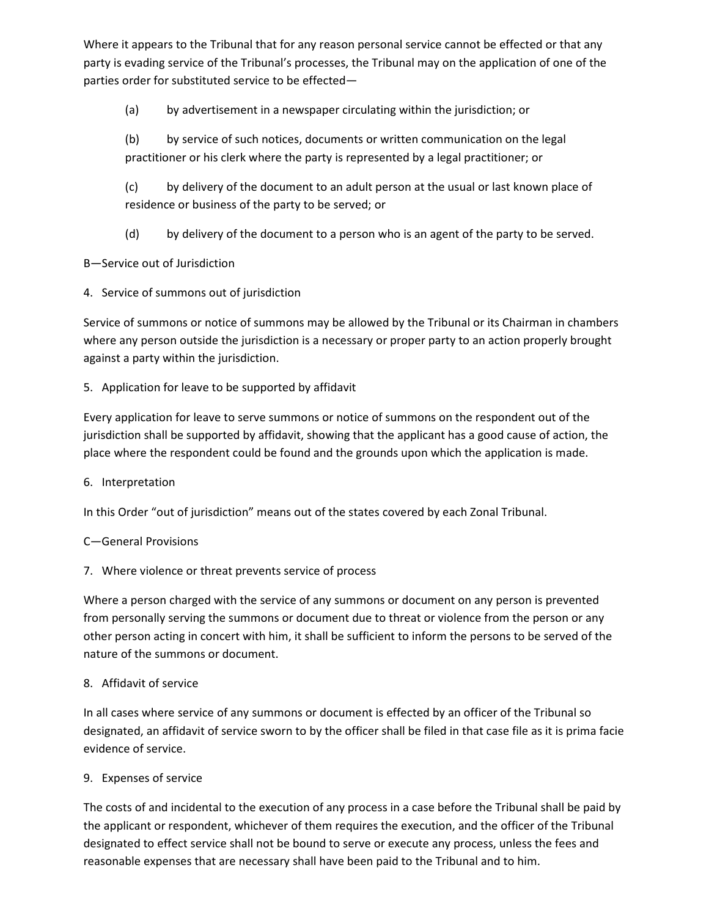Where it appears to the Tribunal that for any reason personal service cannot be effected or that any party is evading service of the Tribunal's processes, the Tribunal may on the application of one of the parties order for substituted service to be effected—

(a) by advertisement in a newspaper circulating within the jurisdiction; or

(b) by service of such notices, documents or written communication on the legal practitioner or his clerk where the party is represented by a legal practitioner; or

(c) by delivery of the document to an adult person at the usual or last known place of residence or business of the party to be served; or

(d) by delivery of the document to a person who is an agent of the party to be served.

B—Service out of Jurisdiction

4. Service of summons out of jurisdiction

Service of summons or notice of summons may be allowed by the Tribunal or its Chairman in chambers where any person outside the jurisdiction is a necessary or proper party to an action properly brought against a party within the jurisdiction.

## 5. Application for leave to be supported by affidavit

Every application for leave to serve summons or notice of summons on the respondent out of the jurisdiction shall be supported by affidavit, showing that the applicant has a good cause of action, the place where the respondent could be found and the grounds upon which the application is made.

6. Interpretation

In this Order "out of jurisdiction" means out of the states covered by each Zonal Tribunal.

## C—General Provisions

## 7. Where violence or threat prevents service of process

Where a person charged with the service of any summons or document on any person is prevented from personally serving the summons or document due to threat or violence from the person or any other person acting in concert with him, it shall be sufficient to inform the persons to be served of the nature of the summons or document.

## 8. Affidavit of service

In all cases where service of any summons or document is effected by an officer of the Tribunal so designated, an affidavit of service sworn to by the officer shall be filed in that case file as it is prima facie evidence of service.

## 9. Expenses of service

The costs of and incidental to the execution of any process in a case before the Tribunal shall be paid by the applicant or respondent, whichever of them requires the execution, and the officer of the Tribunal designated to effect service shall not be bound to serve or execute any process, unless the fees and reasonable expenses that are necessary shall have been paid to the Tribunal and to him.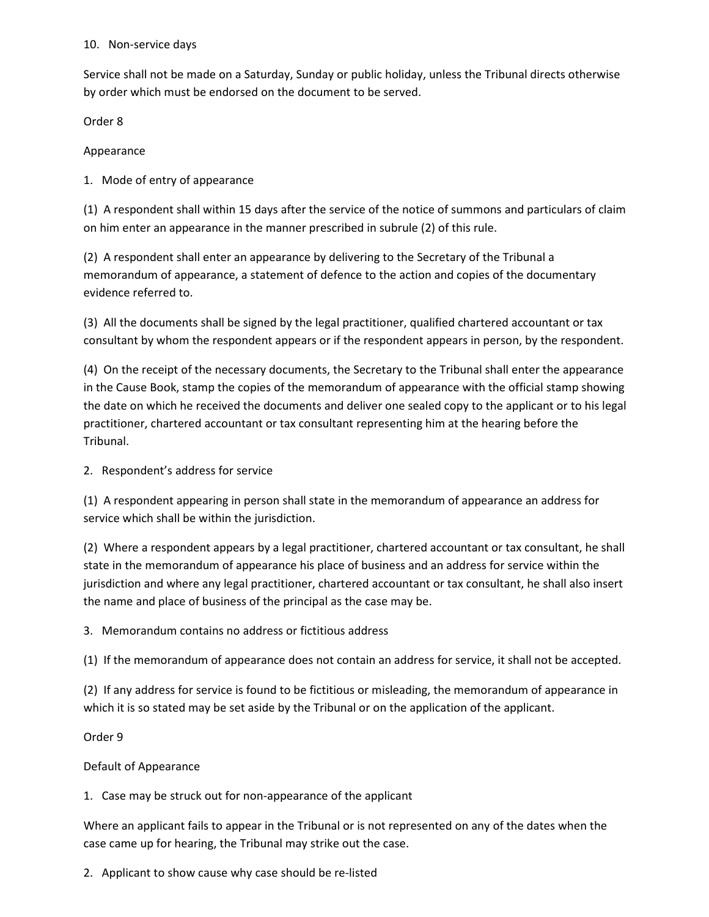## 10. Non-service days

Service shall not be made on a Saturday, Sunday or public holiday, unless the Tribunal directs otherwise by order which must be endorsed on the document to be served.

Order 8

Appearance

1. Mode of entry of appearance

(1) A respondent shall within 15 days after the service of the notice of summons and particulars of claim on him enter an appearance in the manner prescribed in subrule (2) of this rule.

(2) A respondent shall enter an appearance by delivering to the Secretary of the Tribunal a memorandum of appearance, a statement of defence to the action and copies of the documentary evidence referred to.

(3) All the documents shall be signed by the legal practitioner, qualified chartered accountant or tax consultant by whom the respondent appears or if the respondent appears in person, by the respondent.

(4) On the receipt of the necessary documents, the Secretary to the Tribunal shall enter the appearance in the Cause Book, stamp the copies of the memorandum of appearance with the official stamp showing the date on which he received the documents and deliver one sealed copy to the applicant or to his legal practitioner, chartered accountant or tax consultant representing him at the hearing before the Tribunal.

2. Respondent's address for service

(1) A respondent appearing in person shall state in the memorandum of appearance an address for service which shall be within the jurisdiction.

(2) Where a respondent appears by a legal practitioner, chartered accountant or tax consultant, he shall state in the memorandum of appearance his place of business and an address for service within the jurisdiction and where any legal practitioner, chartered accountant or tax consultant, he shall also insert the name and place of business of the principal as the case may be.

3. Memorandum contains no address or fictitious address

(1) If the memorandum of appearance does not contain an address for service, it shall not be accepted.

(2) If any address for service is found to be fictitious or misleading, the memorandum of appearance in which it is so stated may be set aside by the Tribunal or on the application of the applicant.

Order 9

Default of Appearance

1. Case may be struck out for non-appearance of the applicant

Where an applicant fails to appear in the Tribunal or is not represented on any of the dates when the case came up for hearing, the Tribunal may strike out the case.

2. Applicant to show cause why case should be re-listed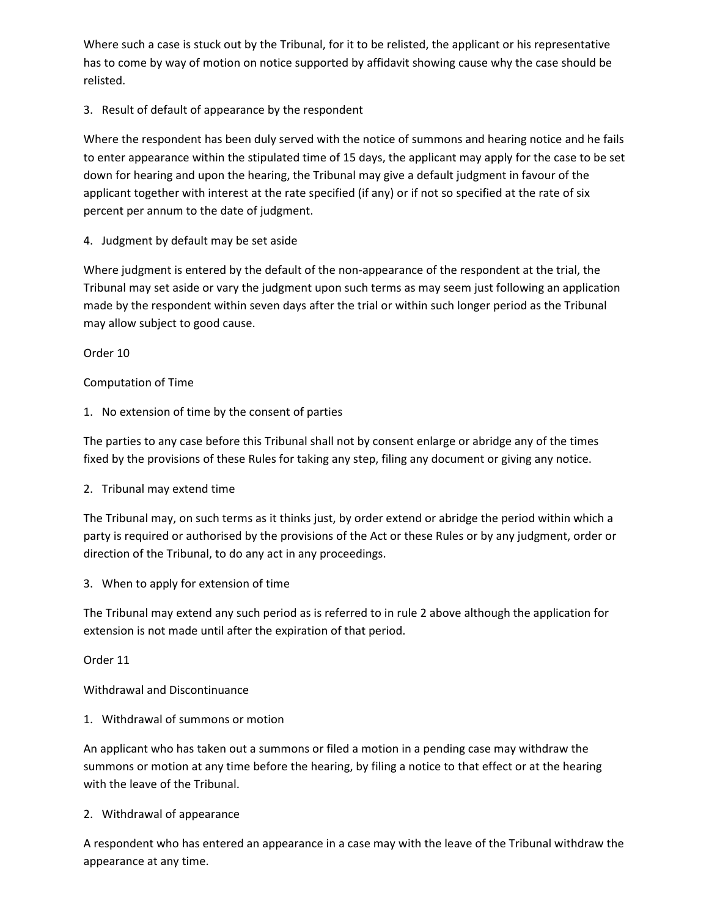Where such a case is stuck out by the Tribunal, for it to be relisted, the applicant or his representative has to come by way of motion on notice supported by affidavit showing cause why the case should be relisted.

## 3. Result of default of appearance by the respondent

Where the respondent has been duly served with the notice of summons and hearing notice and he fails to enter appearance within the stipulated time of 15 days, the applicant may apply for the case to be set down for hearing and upon the hearing, the Tribunal may give a default judgment in favour of the applicant together with interest at the rate specified (if any) or if not so specified at the rate of six percent per annum to the date of judgment.

## 4. Judgment by default may be set aside

Where judgment is entered by the default of the non-appearance of the respondent at the trial, the Tribunal may set aside or vary the judgment upon such terms as may seem just following an application made by the respondent within seven days after the trial or within such longer period as the Tribunal may allow subject to good cause.

Order 10

## Computation of Time

1. No extension of time by the consent of parties

The parties to any case before this Tribunal shall not by consent enlarge or abridge any of the times fixed by the provisions of these Rules for taking any step, filing any document or giving any notice.

2. Tribunal may extend time

The Tribunal may, on such terms as it thinks just, by order extend or abridge the period within which a party is required or authorised by the provisions of the Act or these Rules or by any judgment, order or direction of the Tribunal, to do any act in any proceedings.

3. When to apply for extension of time

The Tribunal may extend any such period as is referred to in rule 2 above although the application for extension is not made until after the expiration of that period.

Order 11

Withdrawal and Discontinuance

1. Withdrawal of summons or motion

An applicant who has taken out a summons or filed a motion in a pending case may withdraw the summons or motion at any time before the hearing, by filing a notice to that effect or at the hearing with the leave of the Tribunal.

## 2. Withdrawal of appearance

A respondent who has entered an appearance in a case may with the leave of the Tribunal withdraw the appearance at any time.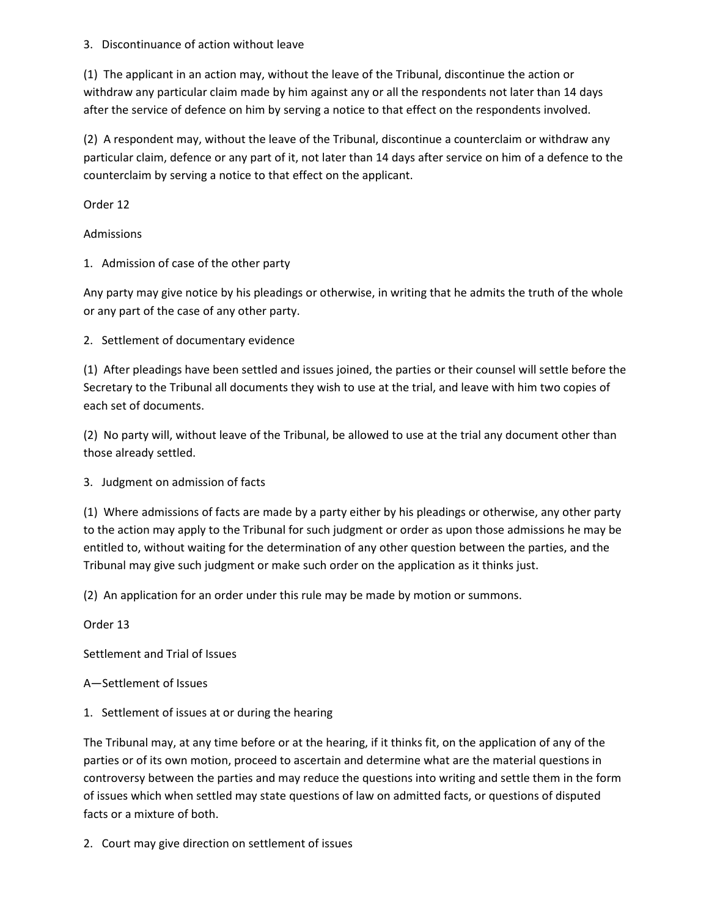## 3. Discontinuance of action without leave

(1) The applicant in an action may, without the leave of the Tribunal, discontinue the action or withdraw any particular claim made by him against any or all the respondents not later than 14 days after the service of defence on him by serving a notice to that effect on the respondents involved.

(2) A respondent may, without the leave of the Tribunal, discontinue a counterclaim or withdraw any particular claim, defence or any part of it, not later than 14 days after service on him of a defence to the counterclaim by serving a notice to that effect on the applicant.

Order 12

Admissions

1. Admission of case of the other party

Any party may give notice by his pleadings or otherwise, in writing that he admits the truth of the whole or any part of the case of any other party.

2. Settlement of documentary evidence

(1) After pleadings have been settled and issues joined, the parties or their counsel will settle before the Secretary to the Tribunal all documents they wish to use at the trial, and leave with him two copies of each set of documents.

(2) No party will, without leave of the Tribunal, be allowed to use at the trial any document other than those already settled.

3. Judgment on admission of facts

(1) Where admissions of facts are made by a party either by his pleadings or otherwise, any other party to the action may apply to the Tribunal for such judgment or order as upon those admissions he may be entitled to, without waiting for the determination of any other question between the parties, and the Tribunal may give such judgment or make such order on the application as it thinks just.

(2) An application for an order under this rule may be made by motion or summons.

Order 13

Settlement and Trial of Issues

A—Settlement of Issues

1. Settlement of issues at or during the hearing

The Tribunal may, at any time before or at the hearing, if it thinks fit, on the application of any of the parties or of its own motion, proceed to ascertain and determine what are the material questions in controversy between the parties and may reduce the questions into writing and settle them in the form of issues which when settled may state questions of law on admitted facts, or questions of disputed facts or a mixture of both.

2. Court may give direction on settlement of issues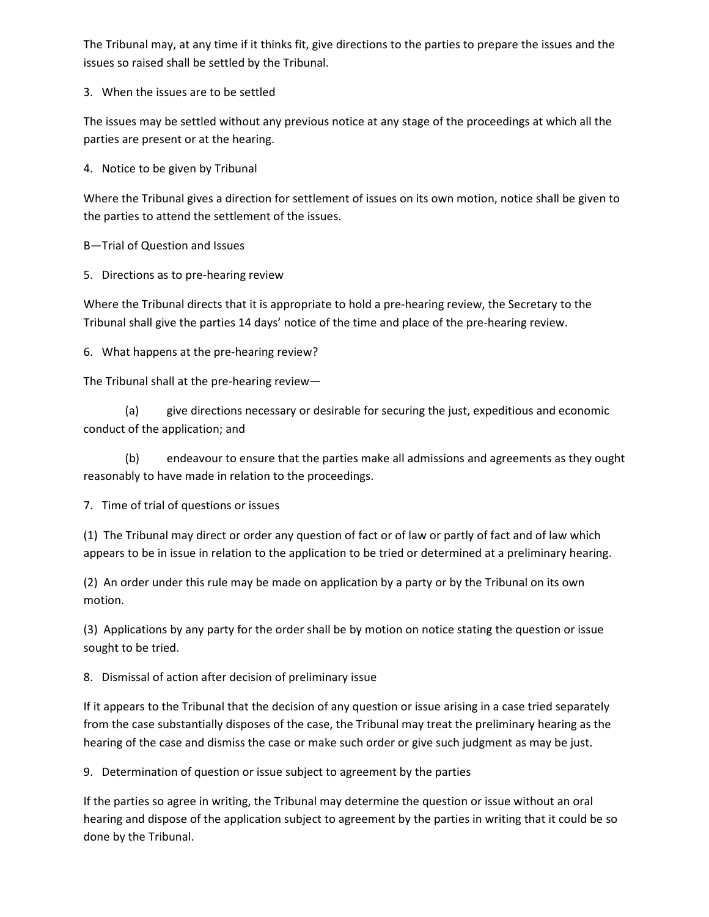The Tribunal may, at any time if it thinks fit, give directions to the parties to prepare the issues and the issues so raised shall be settled by the Tribunal.

3. When the issues are to be settled

The issues may be settled without any previous notice at any stage of the proceedings at which all the parties are present or at the hearing.

4. Notice to be given by Tribunal

Where the Tribunal gives a direction for settlement of issues on its own motion, notice shall be given to the parties to attend the settlement of the issues.

B—Trial of Question and Issues

5. Directions as to pre-hearing review

Where the Tribunal directs that it is appropriate to hold a pre-hearing review, the Secretary to the Tribunal shall give the parties 14 days' notice of the time and place of the pre-hearing review.

6. What happens at the pre-hearing review?

The Tribunal shall at the pre-hearing review—

(a) give directions necessary or desirable for securing the just, expeditious and economic conduct of the application; and

(b) endeavour to ensure that the parties make all admissions and agreements as they ought reasonably to have made in relation to the proceedings.

7. Time of trial of questions or issues

(1) The Tribunal may direct or order any question of fact or of law or partly of fact and of law which appears to be in issue in relation to the application to be tried or determined at a preliminary hearing.

(2) An order under this rule may be made on application by a party or by the Tribunal on its own motion.

(3) Applications by any party for the order shall be by motion on notice stating the question or issue sought to be tried.

8. Dismissal of action after decision of preliminary issue

If it appears to the Tribunal that the decision of any question or issue arising in a case tried separately from the case substantially disposes of the case, the Tribunal may treat the preliminary hearing as the hearing of the case and dismiss the case or make such order or give such judgment as may be just.

9. Determination of question or issue subject to agreement by the parties

If the parties so agree in writing, the Tribunal may determine the question or issue without an oral hearing and dispose of the application subject to agreement by the parties in writing that it could be so done by the Tribunal.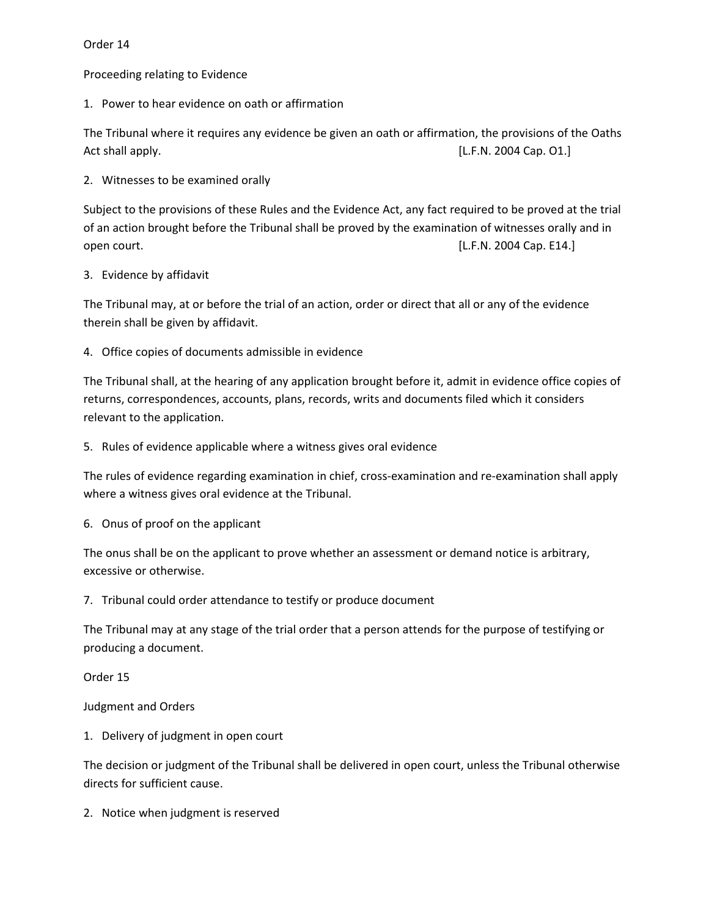Order 14

Proceeding relating to Evidence

1. Power to hear evidence on oath or affirmation

The Tribunal where it requires any evidence be given an oath or affirmation, the provisions of the Oaths Act shall apply. The same state of the state of the state of the state of the state of the state of the state of the state of the state of the state of the state of the state of the state of the state of the state of the s

2. Witnesses to be examined orally

Subject to the provisions of these Rules and the Evidence Act, any fact required to be proved at the trial of an action brought before the Tribunal shall be proved by the examination of witnesses orally and in open court. **Example 2004** Cap. E14.]

## 3. Evidence by affidavit

The Tribunal may, at or before the trial of an action, order or direct that all or any of the evidence therein shall be given by affidavit.

4. Office copies of documents admissible in evidence

The Tribunal shall, at the hearing of any application brought before it, admit in evidence office copies of returns, correspondences, accounts, plans, records, writs and documents filed which it considers relevant to the application.

5. Rules of evidence applicable where a witness gives oral evidence

The rules of evidence regarding examination in chief, cross-examination and re-examination shall apply where a witness gives oral evidence at the Tribunal.

6. Onus of proof on the applicant

The onus shall be on the applicant to prove whether an assessment or demand notice is arbitrary, excessive or otherwise.

7. Tribunal could order attendance to testify or produce document

The Tribunal may at any stage of the trial order that a person attends for the purpose of testifying or producing a document.

Order 15

Judgment and Orders

1. Delivery of judgment in open court

The decision or judgment of the Tribunal shall be delivered in open court, unless the Tribunal otherwise directs for sufficient cause.

2. Notice when judgment is reserved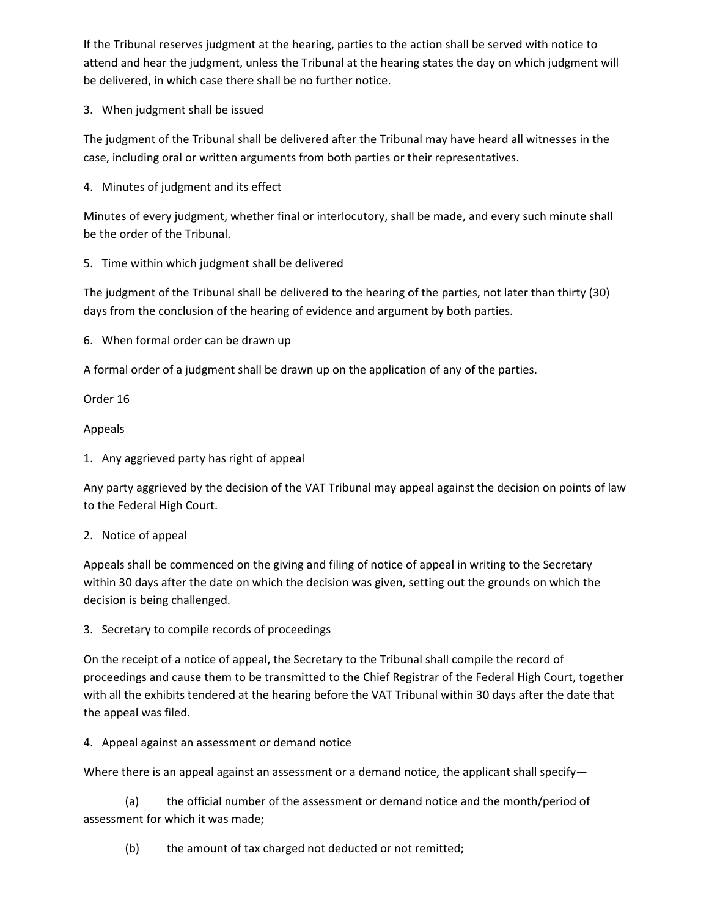If the Tribunal reserves judgment at the hearing, parties to the action shall be served with notice to attend and hear the judgment, unless the Tribunal at the hearing states the day on which judgment will be delivered, in which case there shall be no further notice.

3. When judgment shall be issued

The judgment of the Tribunal shall be delivered after the Tribunal may have heard all witnesses in the case, including oral or written arguments from both parties or their representatives.

4. Minutes of judgment and its effect

Minutes of every judgment, whether final or interlocutory, shall be made, and every such minute shall be the order of the Tribunal.

5. Time within which judgment shall be delivered

The judgment of the Tribunal shall be delivered to the hearing of the parties, not later than thirty (30) days from the conclusion of the hearing of evidence and argument by both parties.

6. When formal order can be drawn up

A formal order of a judgment shall be drawn up on the application of any of the parties.

Order 16

Appeals

1. Any aggrieved party has right of appeal

Any party aggrieved by the decision of the VAT Tribunal may appeal against the decision on points of law to the Federal High Court.

## 2. Notice of appeal

Appeals shall be commenced on the giving and filing of notice of appeal in writing to the Secretary within 30 days after the date on which the decision was given, setting out the grounds on which the decision is being challenged.

3. Secretary to compile records of proceedings

On the receipt of a notice of appeal, the Secretary to the Tribunal shall compile the record of proceedings and cause them to be transmitted to the Chief Registrar of the Federal High Court, together with all the exhibits tendered at the hearing before the VAT Tribunal within 30 days after the date that the appeal was filed.

4. Appeal against an assessment or demand notice

Where there is an appeal against an assessment or a demand notice, the applicant shall specify—

(a) the official number of the assessment or demand notice and the month/period of assessment for which it was made;

(b) the amount of tax charged not deducted or not remitted;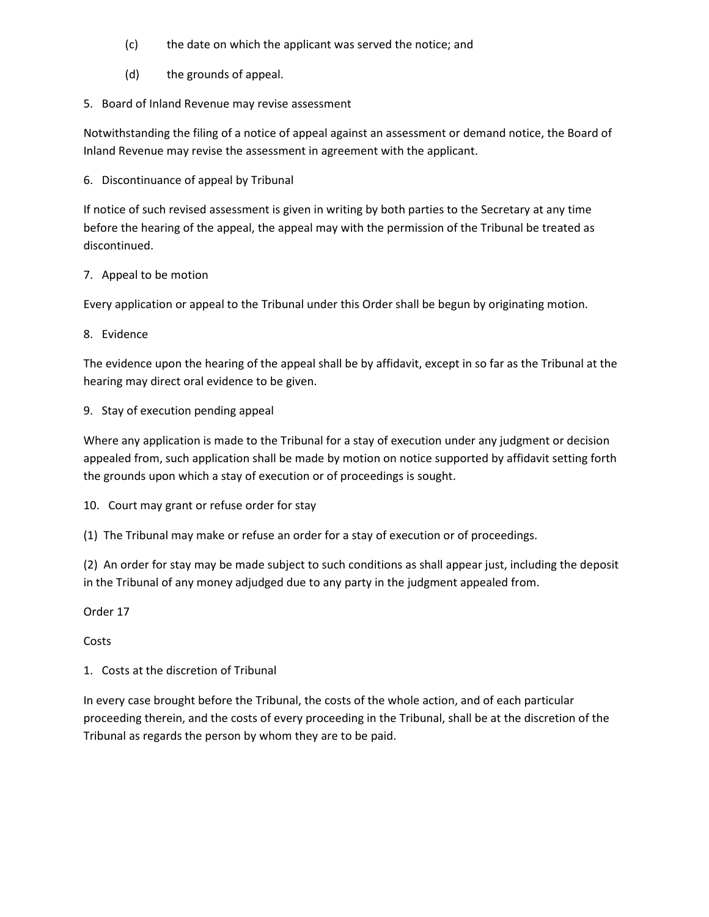- (c) the date on which the applicant was served the notice; and
- (d) the grounds of appeal.
- 5. Board of Inland Revenue may revise assessment

Notwithstanding the filing of a notice of appeal against an assessment or demand notice, the Board of Inland Revenue may revise the assessment in agreement with the applicant.

6. Discontinuance of appeal by Tribunal

If notice of such revised assessment is given in writing by both parties to the Secretary at any time before the hearing of the appeal, the appeal may with the permission of the Tribunal be treated as discontinued.

## 7. Appeal to be motion

Every application or appeal to the Tribunal under this Order shall be begun by originating motion.

8. Evidence

The evidence upon the hearing of the appeal shall be by affidavit, except in so far as the Tribunal at the hearing may direct oral evidence to be given.

9. Stay of execution pending appeal

Where any application is made to the Tribunal for a stay of execution under any judgment or decision appealed from, such application shall be made by motion on notice supported by affidavit setting forth the grounds upon which a stay of execution or of proceedings is sought.

10. Court may grant or refuse order for stay

(1) The Tribunal may make or refuse an order for a stay of execution or of proceedings.

(2) An order for stay may be made subject to such conditions as shall appear just, including the deposit in the Tribunal of any money adjudged due to any party in the judgment appealed from.

Order 17

**Costs** 

1. Costs at the discretion of Tribunal

In every case brought before the Tribunal, the costs of the whole action, and of each particular proceeding therein, and the costs of every proceeding in the Tribunal, shall be at the discretion of the Tribunal as regards the person by whom they are to be paid.